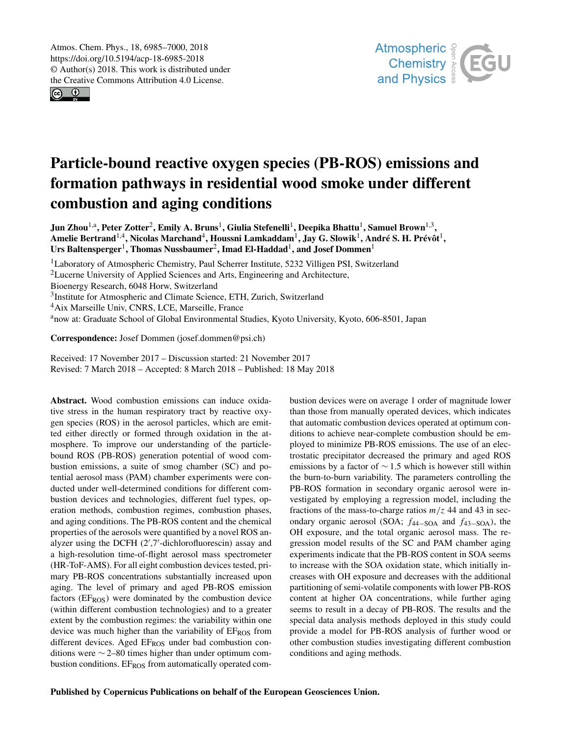$\circledcirc$ 



# Particle-bound reactive oxygen species (PB-ROS) emissions and formation pathways in residential wood smoke under different combustion and aging conditions

Jun Zhou $^{1, a}$ , Peter Zotter $^2$ , Emily A. Bruns $^1$ , Giulia Stefenelli $^1$ , Deepika Bhattu $^1$ , Samuel Brown $^{1, 3},$ Amelie Bertrand $^{1,4}$ , Nicolas Marchand $^{4}$ , Houssni Lamkaddam $^{1}$ , Jay G. Slowik $^{1}$ , André S. H. Prévôt $^{1},$ Urs Baltensperger<sup>1</sup>, Thomas Nussbaumer<sup>2</sup>, Imad El-Haddad<sup>1</sup>, and Josef Dommen<sup>1</sup>

<sup>1</sup>Laboratory of Atmospheric Chemistry, Paul Scherrer Institute, 5232 Villigen PSI, Switzerland <sup>2</sup>Lucerne University of Applied Sciences and Arts, Engineering and Architecture, Bioenergy Research, 6048 Horw, Switzerland <sup>3</sup>Institute for Atmospheric and Climate Science, ETH, Zurich, Switzerland <sup>4</sup>Aix Marseille Univ, CNRS, LCE, Marseille, France <sup>a</sup>now at: Graduate School of Global Environmental Studies, Kyoto University, Kyoto, 606-8501, Japan

Correspondence: Josef Dommen (josef.dommen@psi.ch)

Received: 17 November 2017 – Discussion started: 21 November 2017 Revised: 7 March 2018 – Accepted: 8 March 2018 – Published: 18 May 2018

Abstract. Wood combustion emissions can induce oxidative stress in the human respiratory tract by reactive oxygen species (ROS) in the aerosol particles, which are emitted either directly or formed through oxidation in the atmosphere. To improve our understanding of the particlebound ROS (PB-ROS) generation potential of wood combustion emissions, a suite of smog chamber (SC) and potential aerosol mass (PAM) chamber experiments were conducted under well-determined conditions for different combustion devices and technologies, different fuel types, operation methods, combustion regimes, combustion phases, and aging conditions. The PB-ROS content and the chemical properties of the aerosols were quantified by a novel ROS analyzer using the DCFH (2′ ,7′ -dichlorofluorescin) assay and a high-resolution time-of-flight aerosol mass spectrometer (HR-ToF-AMS). For all eight combustion devices tested, primary PB-ROS concentrations substantially increased upon aging. The level of primary and aged PB-ROS emission factors ( $EF<sub>ROS</sub>$ ) were dominated by the combustion device (within different combustion technologies) and to a greater extent by the combustion regimes: the variability within one device was much higher than the variability of  $E_{ROS}$  from different devices. Aged EF<sub>ROS</sub> under bad combustion conditions were ∼ 2–80 times higher than under optimum combustion conditions. EF<sub>ROS</sub> from automatically operated combustion devices were on average 1 order of magnitude lower than those from manually operated devices, which indicates that automatic combustion devices operated at optimum conditions to achieve near-complete combustion should be employed to minimize PB-ROS emissions. The use of an electrostatic precipitator decreased the primary and aged ROS emissions by a factor of  $\sim$  1.5 which is however still within the burn-to-burn variability. The parameters controlling the PB-ROS formation in secondary organic aerosol were investigated by employing a regression model, including the fractions of the mass-to-charge ratios  $m/z$  44 and 43 in secondary organic aerosol (SOA;  $f_{44-SOA}$  and  $f_{43-SOA}$ ), the OH exposure, and the total organic aerosol mass. The regression model results of the SC and PAM chamber aging experiments indicate that the PB-ROS content in SOA seems to increase with the SOA oxidation state, which initially increases with OH exposure and decreases with the additional partitioning of semi-volatile components with lower PB-ROS content at higher OA concentrations, while further aging seems to result in a decay of PB-ROS. The results and the special data analysis methods deployed in this study could provide a model for PB-ROS analysis of further wood or other combustion studies investigating different combustion conditions and aging methods.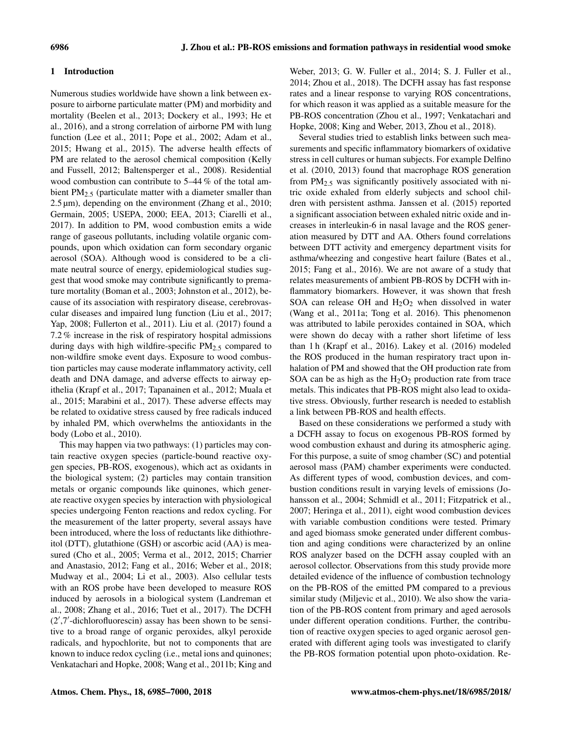# 1 Introduction

Numerous studies worldwide have shown a link between exposure to airborne particulate matter (PM) and morbidity and mortality (Beelen et al., 2013; Dockery et al., 1993; He et al., 2016), and a strong correlation of airborne PM with lung function (Lee et al., 2011; Pope et al., 2002; Adam et al., 2015; Hwang et al., 2015). The adverse health effects of PM are related to the aerosol chemical composition (Kelly and Fussell, 2012; Baltensperger et al., 2008). Residential wood combustion can contribute to 5–44 % of the total ambient PM<sub>2.5</sub> (particulate matter with a diameter smaller than 2.5 µm), depending on the environment (Zhang et al., 2010; Germain, 2005; USEPA, 2000; EEA, 2013; Ciarelli et al., 2017). In addition to PM, wood combustion emits a wide range of gaseous pollutants, including volatile organic compounds, upon which oxidation can form secondary organic aerosol (SOA). Although wood is considered to be a climate neutral source of energy, epidemiological studies suggest that wood smoke may contribute significantly to premature mortality (Boman et al., 2003; Johnston et al., 2012), because of its association with respiratory disease, cerebrovascular diseases and impaired lung function (Liu et al., 2017; Yap, 2008; Fullerton et al., 2011). Liu et al. (2017) found a 7.2 % increase in the risk of respiratory hospital admissions during days with high wildfire-specific  $PM_{2.5}$  compared to non-wildfire smoke event days. Exposure to wood combustion particles may cause moderate inflammatory activity, cell death and DNA damage, and adverse effects to airway epithelia (Krapf et al., 2017; Tapanainen et al., 2012; Muala et al., 2015; Marabini et al., 2017). These adverse effects may be related to oxidative stress caused by free radicals induced by inhaled PM, which overwhelms the antioxidants in the body (Lobo et al., 2010).

This may happen via two pathways: (1) particles may contain reactive oxygen species (particle-bound reactive oxygen species, PB-ROS, exogenous), which act as oxidants in the biological system; (2) particles may contain transition metals or organic compounds like quinones, which generate reactive oxygen species by interaction with physiological species undergoing Fenton reactions and redox cycling. For the measurement of the latter property, several assays have been introduced, where the loss of reductants like dithiothreitol (DTT), glutathione (GSH) or ascorbic acid (AA) is measured (Cho et al., 2005; Verma et al., 2012, 2015; Charrier and Anastasio, 2012; Fang et al., 2016; Weber et al., 2018; Mudway et al., 2004; Li et al., 2003). Also cellular tests with an ROS probe have been developed to measure ROS induced by aerosols in a biological system (Landreman et al., 2008; Zhang et al., 2016; Tuet et al., 2017). The DCFH (2′ ,7′ -dichlorofluorescin) assay has been shown to be sensitive to a broad range of organic peroxides, alkyl peroxide radicals, and hypochlorite, but not to components that are known to induce redox cycling (i.e., metal ions and quinones; Venkatachari and Hopke, 2008; Wang et al., 2011b; King and Weber, 2013; G. W. Fuller et al., 2014; S. J. Fuller et al., 2014; Zhou et al., 2018). The DCFH assay has fast response rates and a linear response to varying ROS concentrations, for which reason it was applied as a suitable measure for the PB-ROS concentration (Zhou et al., 1997; Venkatachari and Hopke, 2008; King and Weber, 2013, Zhou et al., 2018).

Several studies tried to establish links between such measurements and specific inflammatory biomarkers of oxidative stress in cell cultures or human subjects. For example Delfino et al. (2010, 2013) found that macrophage ROS generation from PM2.<sup>5</sup> was significantly positively associated with nitric oxide exhaled from elderly subjects and school children with persistent asthma. Janssen et al. (2015) reported a significant association between exhaled nitric oxide and increases in interleukin-6 in nasal lavage and the ROS generation measured by DTT and AA. Others found correlations between DTT activity and emergency department visits for asthma/wheezing and congestive heart failure (Bates et al., 2015; Fang et al., 2016). We are not aware of a study that relates measurements of ambient PB-ROS by DCFH with inflammatory biomarkers. However, it was shown that fresh SOA can release OH and  $H_2O_2$  when dissolved in water (Wang et al., 2011a; Tong et al. 2016). This phenomenon was attributed to labile peroxides contained in SOA, which were shown do decay with a rather short lifetime of less than 1 h (Krapf et al., 2016). Lakey et al. (2016) modeled the ROS produced in the human respiratory tract upon inhalation of PM and showed that the OH production rate from SOA can be as high as the  $H_2O_2$  production rate from trace metals. This indicates that PB-ROS might also lead to oxidative stress. Obviously, further research is needed to establish a link between PB-ROS and health effects.

Based on these considerations we performed a study with a DCFH assay to focus on exogenous PB-ROS formed by wood combustion exhaust and during its atmospheric aging. For this purpose, a suite of smog chamber (SC) and potential aerosol mass (PAM) chamber experiments were conducted. As different types of wood, combustion devices, and combustion conditions result in varying levels of emissions (Johansson et al., 2004; Schmidl et al., 2011; Fitzpatrick et al., 2007; Heringa et al., 2011), eight wood combustion devices with variable combustion conditions were tested. Primary and aged biomass smoke generated under different combustion and aging conditions were characterized by an online ROS analyzer based on the DCFH assay coupled with an aerosol collector. Observations from this study provide more detailed evidence of the influence of combustion technology on the PB-ROS of the emitted PM compared to a previous similar study (Miljevic et al., 2010). We also show the variation of the PB-ROS content from primary and aged aerosols under different operation conditions. Further, the contribution of reactive oxygen species to aged organic aerosol generated with different aging tools was investigated to clarify the PB-ROS formation potential upon photo-oxidation. Re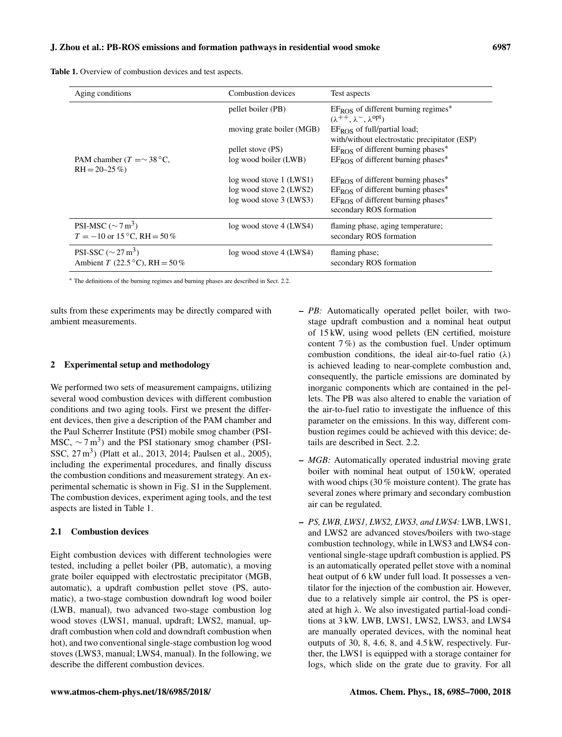Table 1. Overview of combustion devices and test aspects.

| Aging conditions                                                       | Combustion devices        | Test aspects                                                                                              |  |  |
|------------------------------------------------------------------------|---------------------------|-----------------------------------------------------------------------------------------------------------|--|--|
|                                                                        | pellet boiler (PB)        | $EF_{ROS}$ of different burning regimes <sup>*</sup><br>$(\lambda^{++}, \lambda^-, \lambda^{\text{opt}})$ |  |  |
|                                                                        | moving grate boiler (MGB) | $EF_{ROS}$ of full/partial load;<br>with/without electrostatic precipitator (ESP)                         |  |  |
|                                                                        | pellet stove (PS)         | $E_{ROS}$ of different burning phases*                                                                    |  |  |
| PAM chamber $(T = \sim 38 \degree C$ ,<br>$RH = 20 - 25\%$             | log wood boiler (LWB)     | $EF_{ROS}$ of different burning phases*                                                                   |  |  |
|                                                                        | log wood stove 1 (LWS1)   | $EF_{ROS}$ of different burning phases*                                                                   |  |  |
|                                                                        | log wood stove 2 (LWS2)   | $EF_{ROS}$ of different burning phases <sup>*</sup>                                                       |  |  |
|                                                                        | log wood stove 3 (LWS3)   | $EF_{ROS}$ of different burning phases*                                                                   |  |  |
|                                                                        |                           | secondary ROS formation                                                                                   |  |  |
| PSI-MSC ( $\sim$ 7 m <sup>3</sup> )                                    | log wood stove 4 (LWS4)   | flaming phase, aging temperature;                                                                         |  |  |
| $T = -10$ or 15 °C, RH = 50 %                                          |                           | secondary ROS formation                                                                                   |  |  |
| PSI-SSC ( $\sim$ 27 m <sup>3</sup> )<br>Ambient T (22.5 °C), RH = 50 % | log wood stove 4 (LWS4)   | flaming phase;<br>secondary ROS formation                                                                 |  |  |

<sup>∗</sup> The definitions of the burning regimes and burning phases are described in Sect. 2.2.

sults from these experiments may be directly compared with ambient measurements.

## 2 Experimental setup and methodology

We performed two sets of measurement campaigns, utilizing several wood combustion devices with different combustion conditions and two aging tools. First we present the different devices, then give a description of the PAM chamber and the Paul Scherrer Institute (PSI) mobile smog chamber (PSI-MSC,  $\sim$  7 m<sup>3</sup>) and the PSI stationary smog chamber (PSI-SSC, 27 m<sup>3</sup>) (Platt et al., 2013, 2014; Paulsen et al., 2005), including the experimental procedures, and finally discuss the combustion conditions and measurement strategy. An experimental schematic is shown in Fig. S1 in the Supplement. The combustion devices, experiment aging tools, and the test aspects are listed in Table 1.

## 2.1 Combustion devices

Eight combustion devices with different technologies were tested, including a pellet boiler (PB, automatic), a moving grate boiler equipped with electrostatic precipitator (MGB, automatic), a updraft combustion pellet stove (PS, automatic), a two-stage combustion downdraft log wood boiler (LWB, manual), two advanced two-stage combustion log wood stoves (LWS1, manual, updraft; LWS2, manual, updraft combustion when cold and downdraft combustion when hot), and two conventional single-stage combustion log wood stoves (LWS3, manual; LWS4, manual). In the following, we describe the different combustion devices.

- *PB:* Automatically operated pellet boiler, with twostage updraft combustion and a nominal heat output of 15 kW, using wood pellets (EN certified, moisture content  $7\%$ ) as the combustion fuel. Under optimum combustion conditions, the ideal air-to-fuel ratio  $(\lambda)$ is achieved leading to near-complete combustion and, consequently, the particle emissions are dominated by inorganic components which are contained in the pellets. The PB was also altered to enable the variation of the air-to-fuel ratio to investigate the influence of this parameter on the emissions. In this way, different combustion regimes could be achieved with this device; details are described in Sect. 2.2.
- *MGB:* Automatically operated industrial moving grate boiler with nominal heat output of 150 kW, operated with wood chips (30 % moisture content). The grate has several zones where primary and secondary combustion air can be regulated.
- *PS, LWB, LWS1, LWS2, LWS3, and LWS4:* LWB, LWS1, and LWS2 are advanced stoves/boilers with two-stage combustion technology, while in LWS3 and LWS4 conventional single-stage updraft combustion is applied. PS is an automatically operated pellet stove with a nominal heat output of 6 kW under full load. It possesses a ventilator for the injection of the combustion air. However, due to a relatively simple air control, the PS is operated at high  $\lambda$ . We also investigated partial-load conditions at 3 kW. LWB, LWS1, LWS2, LWS3, and LWS4 are manually operated devices, with the nominal heat outputs of 30, 8, 4.6, 8, and 4.5 kW, respectively. Further, the LWS1 is equipped with a storage container for logs, which slide on the grate due to gravity. For all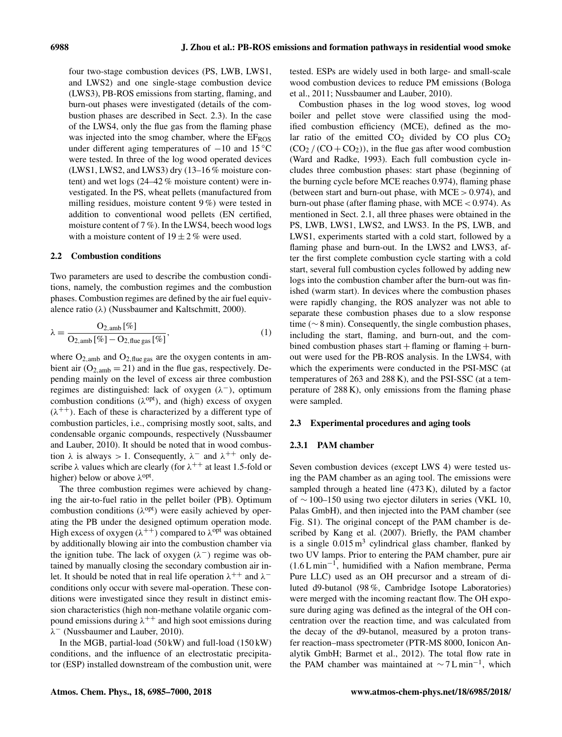four two-stage combustion devices (PS, LWB, LWS1, and LWS2) and one single-stage combustion device (LWS3), PB-ROS emissions from starting, flaming, and burn-out phases were investigated (details of the combustion phases are described in Sect. 2.3). In the case of the LWS4, only the flue gas from the flaming phase was injected into the smog chamber, where the EFROS under different aging temperatures of  $-10$  and 15 °C were tested. In three of the log wood operated devices (LWS1, LWS2, and LWS3) dry (13–16 % moisture content) and wet logs (24–42 % moisture content) were investigated. In the PS, wheat pellets (manufactured from milling residues, moisture content 9 %) were tested in addition to conventional wood pellets (EN certified, moisture content of 7 %). In the LWS4, beech wood logs with a moisture content of  $19 \pm 2\%$  were used.

# 2.2 Combustion conditions

Two parameters are used to describe the combustion conditions, namely, the combustion regimes and the combustion phases. Combustion regimes are defined by the air fuel equivalence ratio ( $\lambda$ ) (Nussbaumer and Kaltschmitt, 2000).

$$
\lambda = \frac{\mathrm{O}_{2,\mathrm{amb}} [\%]}{\mathrm{O}_{2,\mathrm{amb}} [\%] - \mathrm{O}_{2,\mathrm{flue gas}} [\%]} \tag{1}
$$

where  $O_{2,amb}$  and  $O_{2,flue gas}$  are the oxygen contents in ambient air  $(O_{2,amb} = 21)$  and in the flue gas, respectively. Depending mainly on the level of excess air three combustion regimes are distinguished: lack of oxygen  $(\lambda^-)$ , optimum combustion conditions  $(\lambda^{opt})$ , and (high) excess of oxygen  $(\lambda^{++})$ . Each of these is characterized by a different type of combustion particles, i.e., comprising mostly soot, salts, and condensable organic compounds, respectively (Nussbaumer and Lauber, 2010). It should be noted that in wood combustion  $\lambda$  is always > 1. Consequently,  $\lambda^-$  and  $\lambda^{++}$  only describe  $\lambda$  values which are clearly (for  $\lambda^{++}$  at least 1.5-fold or higher) below or above  $\lambda^{opt}$ .

The three combustion regimes were achieved by changing the air-to-fuel ratio in the pellet boiler (PB). Optimum combustion conditions  $(\lambda^{opt})$  were easily achieved by operating the PB under the designed optimum operation mode. High excess of oxygen ( $\lambda^{++}$ ) compared to  $\lambda^{opt}$  was obtained by additionally blowing air into the combustion chamber via the ignition tube. The lack of oxygen  $(\lambda^-)$  regime was obtained by manually closing the secondary combustion air inlet. It should be noted that in real life operation  $\lambda^{++}$  and  $\lambda^{-}$ conditions only occur with severe mal-operation. These conditions were investigated since they result in distinct emission characteristics (high non-methane volatile organic compound emissions during  $\lambda^{++}$  and high soot emissions during λ <sup>−</sup> (Nussbaumer and Lauber, 2010).

In the MGB, partial-load (50 kW) and full-load (150 kW) conditions, and the influence of an electrostatic precipitator (ESP) installed downstream of the combustion unit, were tested. ESPs are widely used in both large- and small-scale wood combustion devices to reduce PM emissions (Bologa et al., 2011; Nussbaumer and Lauber, 2010).

Combustion phases in the log wood stoves, log wood boiler and pellet stove were classified using the modified combustion efficiency (MCE), defined as the molar ratio of the emitted  $CO<sub>2</sub>$  divided by CO plus  $CO<sub>2</sub>$  $(CO<sub>2</sub> / (CO + CO<sub>2</sub>))$ , in the flue gas after wood combustion (Ward and Radke, 1993). Each full combustion cycle includes three combustion phases: start phase (beginning of the burning cycle before MCE reaches 0.974), flaming phase (between start and burn-out phase, with  $MCE > 0.974$ ), and burn-out phase (after flaming phase, with MCE < 0.974). As mentioned in Sect. 2.1, all three phases were obtained in the PS, LWB, LWS1, LWS2, and LWS3. In the PS, LWB, and LWS1, experiments started with a cold start, followed by a flaming phase and burn-out. In the LWS2 and LWS3, after the first complete combustion cycle starting with a cold start, several full combustion cycles followed by adding new logs into the combustion chamber after the burn-out was finished (warm start). In devices where the combustion phases were rapidly changing, the ROS analyzer was not able to separate these combustion phases due to a slow response time (∼ 8 min). Consequently, the single combustion phases, including the start, flaming, and burn-out, and the combined combustion phases start  $+$  flaming or flaming  $+$  burnout were used for the PB-ROS analysis. In the LWS4, with which the experiments were conducted in the PSI-MSC (at temperatures of 263 and 288 K), and the PSI-SSC (at a temperature of 288 K), only emissions from the flaming phase were sampled.

## 2.3 Experimental procedures and aging tools

## 2.3.1 PAM chamber

Seven combustion devices (except LWS 4) were tested using the PAM chamber as an aging tool. The emissions were sampled through a heated line (473 K), diluted by a factor of ∼ 100–150 using two ejector diluters in series (VKL 10, Palas GmbH), and then injected into the PAM chamber (see Fig. S1). The original concept of the PAM chamber is described by Kang et al. (2007). Briefly, the PAM chamber is a single  $0.015 \text{ m}^3$  cylindrical glass chamber, flanked by two UV lamps. Prior to entering the PAM chamber, pure air (1.6 L min−<sup>1</sup> , humidified with a Nafion membrane, Perma Pure LLC) used as an OH precursor and a stream of diluted d9-butanol (98 %, Cambridge Isotope Laboratories) were merged with the incoming reactant flow. The OH exposure during aging was defined as the integral of the OH concentration over the reaction time, and was calculated from the decay of the d9-butanol, measured by a proton transfer reaction–mass spectrometer (PTR-MS 8000, Ionicon Analytik GmbH; Barmet et al., 2012). The total flow rate in the PAM chamber was maintained at  $\sim$  7 L min<sup>-1</sup>, which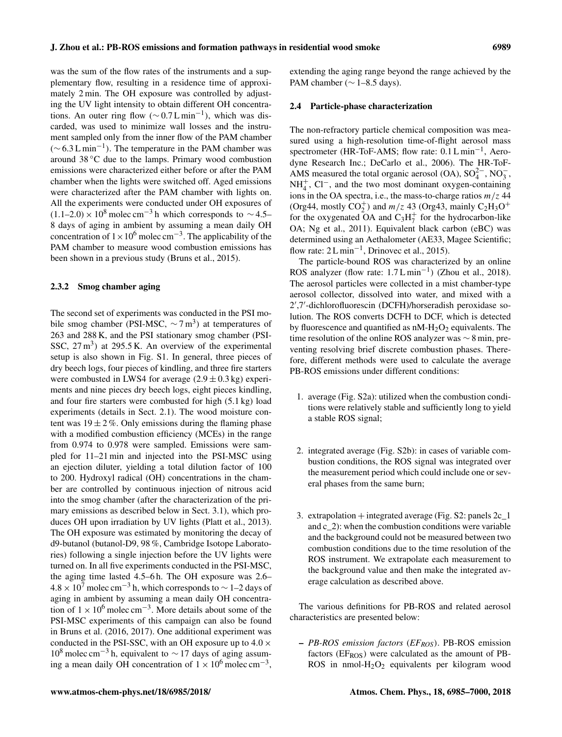was the sum of the flow rates of the instruments and a supplementary flow, resulting in a residence time of approximately 2 min. The OH exposure was controlled by adjusting the UV light intensity to obtain different OH concentrations. An outer ring flow ( $\sim 0.7$  L min<sup>-1</sup>), which was discarded, was used to minimize wall losses and the instrument sampled only from the inner flow of the PAM chamber  $(\sim 6.3 \text{ L min}^{-1})$ . The temperature in the PAM chamber was around 38 ◦C due to the lamps. Primary wood combustion emissions were characterized either before or after the PAM chamber when the lights were switched off. Aged emissions were characterized after the PAM chamber with lights on. All the experiments were conducted under OH exposures of  $(1.1–2.0) \times 10^8$  molec cm<sup>-3</sup> h which corresponds to ~4.5– 8 days of aging in ambient by assuming a mean daily OH concentration of  $1 \times 10^6$  molec cm<sup>-3</sup>. The applicability of the PAM chamber to measure wood combustion emissions has been shown in a previous study (Bruns et al., 2015).

## 2.3.2 Smog chamber aging

The second set of experiments was conducted in the PSI mobile smog chamber (PSI-MSC,  $\sim$  7 m<sup>3</sup>) at temperatures of 263 and 288 K, and the PSI stationary smog chamber (PSI-SSC,  $27 \text{ m}^3$ ) at  $295.5 \text{ K}$ . An overview of the experimental setup is also shown in Fig. S1. In general, three pieces of dry beech logs, four pieces of kindling, and three fire starters were combusted in LWS4 for average  $(2.9 \pm 0.3 \text{ kg})$  experiments and nine pieces dry beech logs, eight pieces kindling, and four fire starters were combusted for high (5.1 kg) load experiments (details in Sect. 2.1). The wood moisture content was  $19 \pm 2\%$ . Only emissions during the flaming phase with a modified combustion efficiency (MCEs) in the range from 0.974 to 0.978 were sampled. Emissions were sampled for 11–21 min and injected into the PSI-MSC using an ejection diluter, yielding a total dilution factor of 100 to 200. Hydroxyl radical (OH) concentrations in the chamber are controlled by continuous injection of nitrous acid into the smog chamber (after the characterization of the primary emissions as described below in Sect. 3.1), which produces OH upon irradiation by UV lights (Platt et al., 2013). The OH exposure was estimated by monitoring the decay of d9-butanol (butanol-D9, 98 %, Cambridge Isotope Laboratories) following a single injection before the UV lights were turned on. In all five experiments conducted in the PSI-MSC, the aging time lasted 4.5–6 h. The OH exposure was 2.6–  $4.8 \times 10^7$  molec cm<sup>-3</sup> h, which corresponds to ~ 1–2 days of aging in ambient by assuming a mean daily OH concentration of  $1 \times 10^6$  molec cm<sup>-3</sup>. More details about some of the PSI-MSC experiments of this campaign can also be found in Bruns et al. (2016, 2017). One additional experiment was conducted in the PSI-SSC, with an OH exposure up to  $4.0 \times$  $10^8$  molec cm<sup>-3</sup> h, equivalent to ~ 17 days of aging assuming a mean daily OH concentration of  $1 \times 10^6$  molec cm<sup>-3</sup>,

extending the aging range beyond the range achieved by the PAM chamber ( $\sim$  1–8.5 days).

# 2.4 Particle-phase characterization

The non-refractory particle chemical composition was measured using a high-resolution time-of-flight aerosol mass spectrometer (HR-ToF-AMS; flow rate: 0.1 L min<sup>-1</sup>, Aerodyne Research Inc.; DeCarlo et al., 2006). The HR-ToF-AMS measured the total organic aerosol (OA),  $SO_4^{2-}$ ,  $NO_3^-$ ,  $NH<sub>4</sub><sup>+</sup>$ , Cl<sup>−</sup>, and the two most dominant oxygen-containing ions in the OA spectra, i.e., the mass-to-charge ratios  $m/z$  44 (Org44, mostly  $CO_2^+$ ) and  $m/z$  43 (Org43, mainly  $C_2H_3O^+$ for the oxygenated OA and  $C_3H_7^+$  for the hydrocarbon-like OA; Ng et al., 2011). Equivalent black carbon (eBC) was determined using an Aethalometer (AE33, Magee Scientific; flow rate:  $2 L min^{-1}$ , Drinovec et al., 2015).

The particle-bound ROS was characterized by an online ROS analyzer (flow rate:  $1.7 L min^{-1}$ ) (Zhou et al., 2018). The aerosol particles were collected in a mist chamber-type aerosol collector, dissolved into water, and mixed with a 2 ′ ,7′ -dichlorofluorescin (DCFH)/horseradish peroxidase solution. The ROS converts DCFH to DCF, which is detected by fluorescence and quantified as  $nM-H<sub>2</sub>O<sub>2</sub>$  equivalents. The time resolution of the online ROS analyzer was ∼ 8 min, preventing resolving brief discrete combustion phases. Therefore, different methods were used to calculate the average PB-ROS emissions under different conditions:

- 1. average (Fig. S2a): utilized when the combustion conditions were relatively stable and sufficiently long to yield a stable ROS signal;
- 2. integrated average (Fig. S2b): in cases of variable combustion conditions, the ROS signal was integrated over the measurement period which could include one or several phases from the same burn;
- 3. extrapolation  $+$  integrated average (Fig. S2: panels  $2c_1$ ) and c\_2): when the combustion conditions were variable and the background could not be measured between two combustion conditions due to the time resolution of the ROS instrument. We extrapolate each measurement to the background value and then make the integrated average calculation as described above.

The various definitions for PB-ROS and related aerosol characteristics are presented below:

– *PB-ROS emission factors* (*EFROS*). PB-ROS emission factors (EF<sub>ROS</sub>) were calculated as the amount of PB-ROS in nmol-H2O<sup>2</sup> equivalents per kilogram wood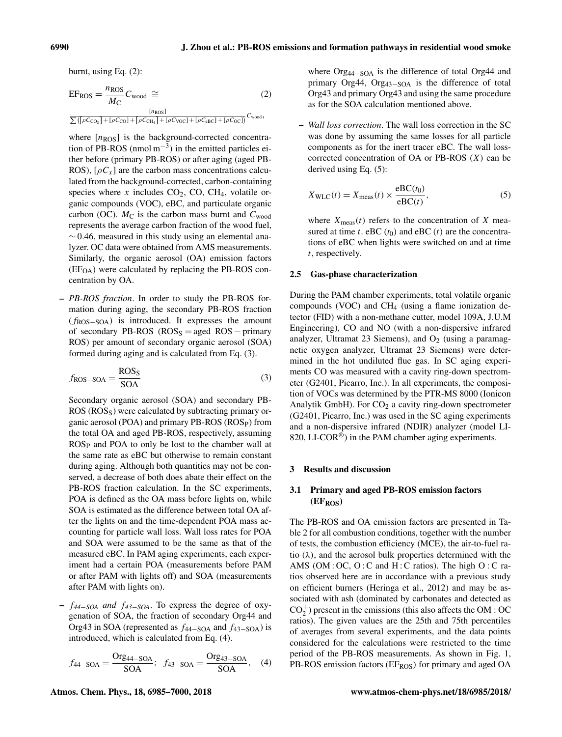burnt, using Eq. (2):

$$
EF_{\text{ROS}} = \frac{n_{\text{ROS}}}{M_{\text{C}}} C_{\text{wood}} \cong \qquad (2)
$$

$$
\frac{[n_{\text{ROS}}]}{\sum([\rho C_{\text{CO}_2}] + [\rho C_{\text{CO}}] + [\rho C_{\text{Cl-1}}] + [\rho C_{\text{VOC}}] + [\rho C_{\text{eBC}}] + [\rho C_{\text{OCl}}]} C_{\text{wood}},
$$

where  $[n_{\rm ROS}]$  is the background-corrected concentration of PB-ROS (nmol  $m^{-3}$ ) in the emitted particles either before (primary PB-ROS) or after aging (aged PB-ROS),  $[\rho C_x]$  are the carbon mass concentrations calculated from the background-corrected, carbon-containing species where x includes  $CO<sub>2</sub>$ , CO, CH<sub>4</sub>, volatile organic compounds (VOC), eBC, and particulate organic carbon (OC).  $M_C$  is the carbon mass burnt and  $C_{wood}$ represents the average carbon fraction of the wood fuel,  $\sim$  0.46, measured in this study using an elemental analyzer. OC data were obtained from AMS measurements. Similarly, the organic aerosol (OA) emission factors  $(EF<sub>OA</sub>)$  were calculated by replacing the PB-ROS concentration by OA.

– *PB-ROS fraction*. In order to study the PB-ROS formation during aging, the secondary PB-ROS fraction  $(f_{\text{ROS}-\text{SOA}})$  is introduced. It expresses the amount of secondary PB-ROS ( $\text{ROS}_S = \text{aged ROS} - \text{primary}$ ROS) per amount of secondary organic aerosol (SOA) formed during aging and is calculated from Eq. (3).

$$
f_{\rm ROS-SOA} = \frac{\rm ROS_S}{\rm SOA} \tag{3}
$$

Secondary organic aerosol (SOA) and secondary PB- $ROS (ROS<sub>S</sub>)$  were calculated by subtracting primary organic aerosol (POA) and primary PB-ROS (ROSP) from the total OA and aged PB-ROS, respectively, assuming ROS<sub>P</sub> and POA to only be lost to the chamber wall at the same rate as eBC but otherwise to remain constant during aging. Although both quantities may not be conserved, a decrease of both does abate their effect on the PB-ROS fraction calculation. In the SC experiments, POA is defined as the OA mass before lights on, while SOA is estimated as the difference between total OA after the lights on and the time-dependent POA mass accounting for particle wall loss. Wall loss rates for POA and SOA were assumed to be the same as that of the measured eBC. In PAM aging experiments, each experiment had a certain POA (measurements before PAM or after PAM with lights off) and SOA (measurements after PAM with lights on).

– f*44*−*SOA and* f*43*−*SOA*. To express the degree of oxygenation of SOA, the fraction of secondary Org44 and Org43 in SOA (represented as  $f_{44-SOA}$  and  $f_{43-SOA}$ ) is introduced, which is calculated from Eq. (4).

$$
f_{44-\text{SOA}} = \frac{\text{Org}_{44-\text{SOA}}}{\text{SOA}}; \quad f_{43-\text{SOA}} = \frac{\text{Org}_{43-\text{SOA}}}{\text{SOA}}, \quad (4)
$$

where Org<sub>44−SOA</sub> is the difference of total Org44 and primary Org44, Org<sub>43−SOA</sub> is the difference of total Org43 and primary Org43 and using the same procedure as for the SOA calculation mentioned above.

– *Wall loss correction*. The wall loss correction in the SC was done by assuming the same losses for all particle components as for the inert tracer eBC. The wall losscorrected concentration of OA or PB-ROS  $(X)$  can be derived using Eq. (5):

$$
X_{\text{WLC}}(t) = X_{\text{meas}}(t) \times \frac{\text{eBC}(t_0)}{\text{eBC}(t)},\tag{5}
$$

where  $X_{\text{meas}}(t)$  refers to the concentration of X measured at time t. eBC  $(t_0)$  and eBC  $(t)$  are the concentrations of eBC when lights were switched on and at time t, respectively.

#### 2.5 Gas-phase characterization

During the PAM chamber experiments, total volatile organic compounds (VOC) and  $CH_4$  (using a flame ionization detector (FID) with a non-methane cutter, model 109A, J.U.M Engineering), CO and NO (with a non-dispersive infrared analyzer, Ultramat 23 Siemens), and  $O<sub>2</sub>$  (using a paramagnetic oxygen analyzer, Ultramat 23 Siemens) were determined in the hot undiluted flue gas. In SC aging experiments CO was measured with a cavity ring-down spectrometer (G2401, Picarro, Inc.). In all experiments, the composition of VOCs was determined by the PTR-MS 8000 (Ionicon Analytik GmbH). For  $CO<sub>2</sub>$  a cavity ring-down spectrometer (G2401, Picarro, Inc.) was used in the SC aging experiments and a non-dispersive infrared (NDIR) analyzer (model LI-820, LI-COR<sup>®</sup>) in the PAM chamber aging experiments.

## 3 Results and discussion

# 3.1 Primary and aged PB-ROS emission factors (EFROS)

The PB-ROS and OA emission factors are presented in Table 2 for all combustion conditions, together with the number of tests, the combustion efficiency (MCE), the air-to-fuel ratio  $(\lambda)$ , and the aerosol bulk properties determined with the AMS (OM : OC, O : C and H : C ratios). The high  $O: C$  ratios observed here are in accordance with a previous study on efficient burners (Heringa et al., 2012) and may be associated with ash (dominated by carbonates and detected as  $CO<sub>2</sub><sup>+</sup>$ ) present in the emissions (this also affects the OM : OC ratios). The given values are the 25th and 75th percentiles of averages from several experiments, and the data points considered for the calculations were restricted to the time period of the PB-ROS measurements. As shown in Fig. 1, PB-ROS emission factors (EF<sub>ROS</sub>) for primary and aged OA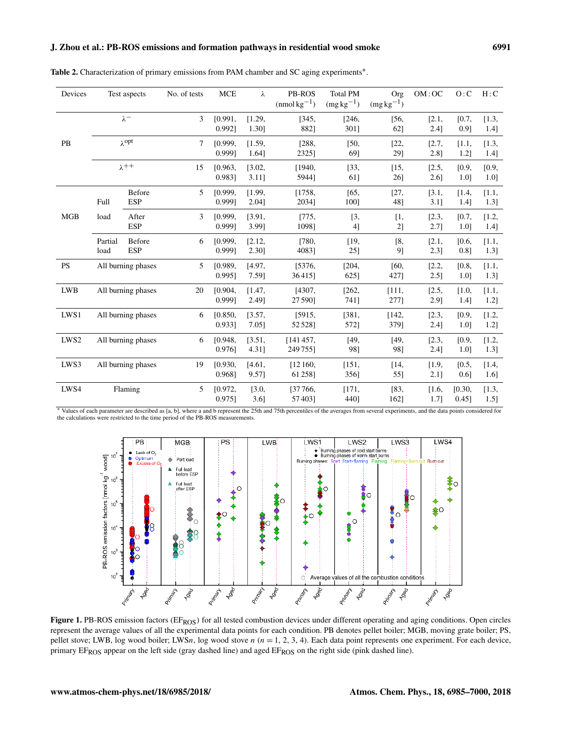# J. Zhou et al.: PB-ROS emissions and formation pathways in residential wood smoke 6991

| Devices          |                    | Test aspects       | No. of tests | <b>MCE</b> | λ        | PB-ROS        | <b>Total PM</b> | Org         | OM:OC   | O:C                  | H:C     |
|------------------|--------------------|--------------------|--------------|------------|----------|---------------|-----------------|-------------|---------|----------------------|---------|
|                  |                    |                    |              |            |          | $(mmol kg-1)$ | $(mg kg^{-1})$  | $(mg kg-1)$ |         |                      |         |
|                  | $\lambda^-$        |                    | 3            | [0.991,    | [1.29,   | [345,         | [246,           | [56,        | [2.1,   | [0.7,                | [1.3,   |
|                  |                    |                    |              | 0.992]     | 1.30]    | 882]          | 301]            | 62]         | 2.4]    | 0.9]                 | 1.4]    |
| PB               | $\lambda$ opt      |                    | $\tau$       | [0.999,    | [1.59,   | [288,         | [50,            | [22,        | [2.7,   | [1.1,                | [1.3,   |
|                  |                    |                    |              | 0.9991     | 1.64]    | 2325]         | 69]             | 29]         | $2.8$ ] | $1.2$ ]              | 1.4]    |
|                  | $\lambda^{++}$     |                    |              |            |          |               |                 |             |         |                      |         |
|                  |                    |                    | 15           | [0.963,    | [3.02,   | [1940,        | [33,            | $[15,$      | [2.5,   | [0.9,                | [0.9,   |
|                  |                    |                    |              | 0.983]     | $3.11$ ] | 5944]         | 61]             | 26]         | 2.6]    | 1.0]                 | 1.0]    |
|                  |                    | Before             | 5            | [0.999,    | [1.99,   | [1758,        | [65,            | [27,        | [3.1,   | $\left[1.4\right]$   | [1.1,   |
|                  | Full               | <b>ESP</b>         |              | 0.999]     | 2.04]    | 2034]         | 100]            | 48]         | 3.1]    | 1.4]                 | 1.3]    |
| MGB              | load               | After              | 3            | [0.999,    | [3.91,   | [775,         | [3,             | [1,         | [2.3,   | [0.7,                | [1.2,   |
|                  |                    | <b>ESP</b>         |              | 0.999]     | 3.99]    | 1098]         | 4]              | 2]          | 2.7]    | 1.0]                 | 1.4]    |
|                  |                    |                    |              |            |          |               |                 |             |         |                      |         |
|                  | Partial            | Before             | 6            | [0.999,    | [2.12,   | [780,         | $[19,$          | [8,         | [2.1,   | [0.6,                | $[1.1,$ |
|                  | load               | <b>ESP</b>         |              | 0.999]     | 2.30]    | 40831         | 25]             | 9]          | 2.3]    | 0.8]                 | 1.3]    |
| PS               | All burning phases |                    | 5            | [0.989,    | [4.97,   | [5376,        | [204,           | [60,        | [2.2,   | [0.8,                | [1.1,   |
|                  |                    |                    |              | 0.995]     | 7.59]    | 36415]        | 625]            | 427]        | 2.5]    | 1.0]                 | 1.3]    |
| <b>LWB</b>       | All burning phases |                    | 20           | [0.904,    | [1.47,   | [4307,        | [262,           | [111,       | [2.5,   | $\left[1.0, \right.$ | [1.1,   |
|                  |                    |                    |              | 0.999]     | 2.49]    | 27 590]       | 741]            | 277]        | 2.9]    | 1.4]                 | 1.2]    |
|                  |                    |                    |              |            |          |               |                 |             |         |                      |         |
| LWS1             |                    | All burning phases | 6            | [0.850,    | [3.57,   | [5915,        | [381,           | [142,       | [2.3,   | [0.9,                | [1.2,   |
|                  |                    |                    |              | $0.933$ ]  | 7.05]    | 52528]        | 5721            | 3791        | 2.4]    | 1.0]                 | 1.2]    |
| LWS <sub>2</sub> |                    | All burning phases | 6            | [0.948,    | [3.51,   | [141457,      | [49,            | [49,        | [2.3,   | [0.9,                | [1.2,   |
|                  |                    |                    |              | $0.976$ ]  | 4.31]    | 249755]       | 98]             | 98]         | 2.4]    | 1.0]                 | 1.3]    |
| LWS3             |                    | All burning phases | 19           | [0.930,    | [4.61,   | [12160,       | [151,           | $[14,$      | [1.9,   | [0.5,                | [1.4,   |
|                  |                    |                    |              | 0.968]     | 9.57]    | 61 258]       | 356]            | 55]         | 2.1]    | 0.6]                 | 1.6]    |
|                  |                    |                    |              |            |          |               |                 |             |         |                      |         |
| LWS4             | Flaming            |                    | 5            | [0.972,    | [3.0,    | [37766,       | [171,           | [83,        | [1.6,   | [0.30,               | [1.3,   |
|                  |                    |                    |              | 0.9751     | 3.6]     | 574031        | 4401            | 1621        | 1.7]    | $0.45$ ]             | 1.5]    |

Table 2. Characterization of primary emissions from PAM chamber and SC aging experiments<sup>\*</sup>.

<sup>∗</sup> Values of each parameter are described as [a, b], where a and b represent the 25th and 75th percentiles of the averages from several experiments, and the data points considered for the calculations were restricted to the time period of the PB-ROS measurements.



Figure 1. PB-ROS emission factors (EF<sub>ROS</sub>) for all tested combustion devices under different operating and aging conditions. Open circles represent the average values of all the experimental data points for each condition. PB denotes pellet boiler; MGB, moving grate boiler; PS, pellet stove; LWB, log wood boiler; LWSn, log wood stove  $n (n = 1, 2, 3, 4)$ . Each data point represents one experiment. For each device, primary EF<sub>ROS</sub> appear on the left side (gray dashed line) and aged EF<sub>ROS</sub> on the right side (pink dashed line).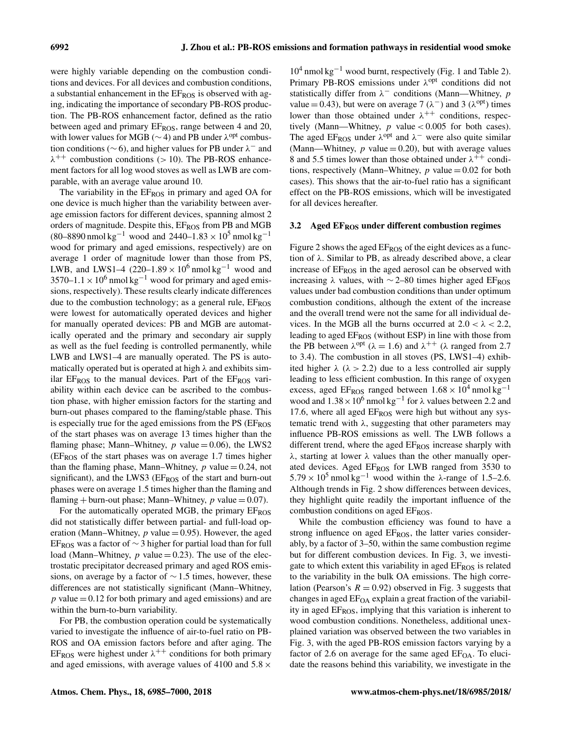were highly variable depending on the combustion conditions and devices. For all devices and combustion conditions, a substantial enhancement in the  $E_{ROS}$  is observed with aging, indicating the importance of secondary PB-ROS production. The PB-ROS enhancement factor, defined as the ratio between aged and primary EF<sub>ROS</sub>, range between 4 and 20, with lower values for MGB ( $\sim$  4) and PB under  $\lambda^{opt}$  combustion conditions ( $\sim$  6), and higher values for PB under  $\lambda^-$  and  $\lambda^{++}$  combustion conditions (> 10). The PB-ROS enhancement factors for all log wood stoves as well as LWB are comparable, with an average value around 10.

The variability in the  $E_{ROS}$  in primary and aged OA for one device is much higher than the variability between average emission factors for different devices, spanning almost 2 orders of magnitude. Despite this, EFROS from PB and MGB (80–8890 nmol kg<sup>-1</sup> wood and 2440–1.83 × 10<sup>5</sup> nmol kg<sup>-1</sup> wood for primary and aged emissions, respectively) are on average 1 order of magnitude lower than those from PS, LWB, and LWS1–4 (220–1.89  $\times$  10<sup>6</sup> nmol kg<sup>-1</sup> wood and 3570–1.1 × 10<sup>6</sup> nmol kg<sup>-1</sup> wood for primary and aged emissions, respectively). These results clearly indicate differences due to the combustion technology; as a general rule, EFROS were lowest for automatically operated devices and higher for manually operated devices: PB and MGB are automatically operated and the primary and secondary air supply as well as the fuel feeding is controlled permanently, while LWB and LWS1–4 are manually operated. The PS is automatically operated but is operated at high  $\lambda$  and exhibits similar EFROS to the manual devices. Part of the EFROS variability within each device can be ascribed to the combustion phase, with higher emission factors for the starting and burn-out phases compared to the flaming/stable phase. This is especially true for the aged emissions from the  $PS$  ( $E_{ROS}$ ) of the start phases was on average 13 times higher than the flaming phase; Mann–Whitney,  $p$  value = 0.06), the LWS2 (EFROS of the start phases was on average 1.7 times higher than the flaming phase, Mann–Whitney,  $p$  value = 0.24, not significant), and the LWS3 (EF<sub>ROS</sub> of the start and burn-out phases were on average 1.5 times higher than the flaming and flaming + burn-out phase; Mann–Whitney, p value  $= 0.07$ ).

For the automatically operated MGB, the primary EFROS did not statistically differ between partial- and full-load operation (Mann–Whitney,  $p$  value = 0.95). However, the aged EF<sub>ROS</sub> was a factor of  $\sim$  3 higher for partial load than for full load (Mann–Whitney,  $p$  value = 0.23). The use of the electrostatic precipitator decreased primary and aged ROS emissions, on average by a factor of  $\sim$  1.5 times, however, these differences are not statistically significant (Mann–Whitney,  $p$  value  $= 0.12$  for both primary and aged emissions) and are within the burn-to-burn variability.

For PB, the combustion operation could be systematically varied to investigate the influence of air-to-fuel ratio on PB-ROS and OA emission factors before and after aging. The EF<sub>ROS</sub> were highest under  $\lambda^{++}$  conditions for both primary and aged emissions, with average values of 4100 and  $5.8 \times$ 

10<sup>4</sup> nmol kg−<sup>1</sup> wood burnt, respectively (Fig. 1 and Table 2). Primary PB-ROS emissions under  $\lambda^{opt}$  conditions did not statistically differ from  $\lambda^-$  conditions (Mann—Whitney, p value = 0.43), but were on average 7 ( $\lambda$ <sup>-</sup>) and 3 ( $\lambda$ <sup>opt</sup>) times lower than those obtained under  $\lambda^{++}$  conditions, respectively (Mann—Whitney,  $p$  value < 0.005 for both cases). The aged EF<sub>ROS</sub> under  $\lambda^{opt}$  and  $\lambda^{-}$  were also quite similar (Mann—Whitney,  $p$  value = 0.20), but with average values 8 and 5.5 times lower than those obtained under  $\lambda^{++}$  conditions, respectively (Mann–Whitney,  $p$  value  $= 0.02$  for both cases). This shows that the air-to-fuel ratio has a significant effect on the PB-ROS emissions, which will be investigated for all devices hereafter.

## 3.2 Aged  $E_{ROS}$  under different combustion regimes

Figure 2 shows the aged  $E_{ROS}$  of the eight devices as a function of  $\lambda$ . Similar to PB, as already described above, a clear increase of  $E_{ROS}$  in the aged aerosol can be observed with increasing  $\lambda$  values, with ∼2–80 times higher aged EF<sub>ROS</sub> values under bad combustion conditions than under optimum combustion conditions, although the extent of the increase and the overall trend were not the same for all individual devices. In the MGB all the burns occurred at  $2.0 < \lambda < 2.2$ , leading to aged EF<sub>ROS</sub> (without ESP) in line with those from the PB between  $\lambda^{opt}$  ( $\lambda = 1.6$ ) and  $\lambda^{++}$  ( $\lambda$  ranged from 2.7 to 3.4). The combustion in all stoves (PS, LWS1–4) exhibited higher  $\lambda$  ( $\lambda > 2.2$ ) due to a less controlled air supply leading to less efficient combustion. In this range of oxygen excess, aged EF<sub>ROS</sub> ranged between  $1.68 \times 10^4$  nmol kg<sup>-1</sup> wood and  $1.38 \times 10^6$  nmol kg<sup>-1</sup> for  $\lambda$  values between 2.2 and 17.6, where all aged  $E_{ROS}$  were high but without any systematic trend with  $\lambda$ , suggesting that other parameters may influence PB-ROS emissions as well. The LWB follows a different trend, where the aged EFROS increase sharply with  $\lambda$ , starting at lower  $\lambda$  values than the other manually operated devices. Aged EFROS for LWB ranged from 3530 to  $5.79 \times 10^5$  nmol kg<sup>-1</sup> wood within the  $\lambda$ -range of 1.5–2.6. Although trends in Fig. 2 show differences between devices, they highlight quite readily the important influence of the combustion conditions on aged EFROS.

While the combustion efficiency was found to have a strong influence on aged  $E_{ROS}$ , the latter varies considerably, by a factor of 3–50, within the same combustion regime but for different combustion devices. In Fig. 3, we investigate to which extent this variability in aged  $E_{ROS}$  is related to the variability in the bulk OA emissions. The high correlation (Pearson's  $R = 0.92$ ) observed in Fig. 3 suggests that changes in aged  $EF<sub>OA</sub>$  explain a great fraction of the variability in aged  $E_{ROS}$ , implying that this variation is inherent to wood combustion conditions. Nonetheless, additional unexplained variation was observed between the two variables in Fig. 3, with the aged PB-ROS emission factors varying by a factor of 2.6 on average for the same aged  $E_{\text{OA}}$ . To elucidate the reasons behind this variability, we investigate in the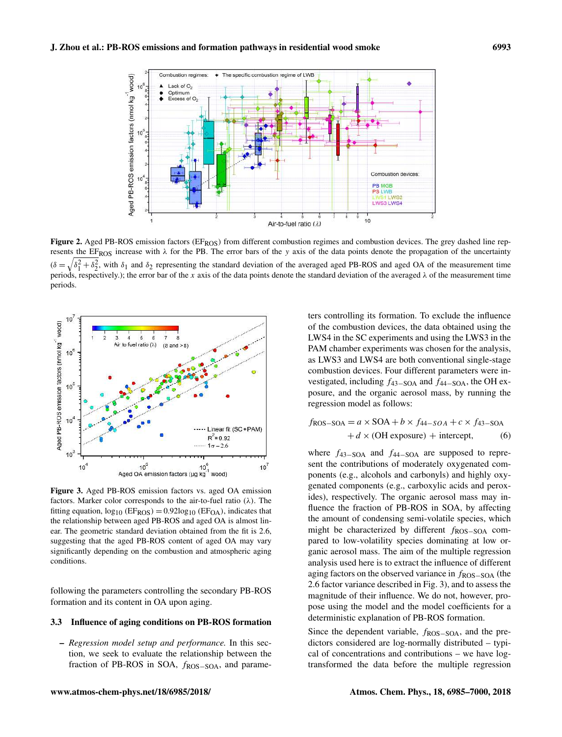

Figure 2. Aged PB-ROS emission factors (EF<sub>ROS</sub>) from different combustion regimes and combustion devices. The grey dashed line represents the EF<sub>ROS</sub> increase with  $\lambda$  for the PB. The error bars of the y axis of the data points denote the propagation of the uncertainty  $(\delta =$  $\sqrt{\delta_1^2 + \delta_2^2}$ , with  $\delta_1$  and  $\delta_2$  representing the standard deviation of the averaged aged PB-ROS and aged OA of the measurement time periods, respectively.); the error bar of the x axis of the data points denote the standard deviation of the averaged  $\lambda$  of the measurement time periods.



Figure 3. Aged PB-ROS emission factors vs. aged OA emission factors. Marker color corresponds to the air-to-fuel ratio  $(\lambda)$ . The fitting equation,  $log_{10}$  (EF<sub>ROS</sub>) = 0.92log<sub>10</sub> (EF<sub>OA</sub>), indicates that the relationship between aged PB-ROS and aged OA is almost linear. The geometric standard deviation obtained from the fit is 2.6, suggesting that the aged PB-ROS content of aged OA may vary significantly depending on the combustion and atmospheric aging conditions.

following the parameters controlling the secondary PB-ROS formation and its content in OA upon aging.

#### 3.3 Influence of aging conditions on PB-ROS formation

– *Regression model setup and performance.* In this section, we seek to evaluate the relationship between the fraction of PB-ROS in SOA,  $f_{ROS-SOA}$ , and parame-

ters controlling its formation. To exclude the influence of the combustion devices, the data obtained using the LWS4 in the SC experiments and using the LWS3 in the PAM chamber experiments was chosen for the analysis, as LWS3 and LWS4 are both conventional single-stage combustion devices. Four different parameters were investigated, including  $f_{43-\text{SOA}}$  and  $f_{44-\text{SOA}}$ , the OH exposure, and the organic aerosol mass, by running the regression model as follows:

$$
f_{\text{ROS-SOA}} = a \times \text{SOA} + b \times f_{44-SOA} + c \times f_{43-SOA}
$$

$$
+ d \times (\text{OH exposure}) + \text{intercept}, \tag{6}
$$

where  $f_{43-SOA}$  and  $f_{44-SOA}$  are supposed to represent the contributions of moderately oxygenated components (e.g., alcohols and carbonyls) and highly oxygenated components (e.g., carboxylic acids and peroxides), respectively. The organic aerosol mass may influence the fraction of PB-ROS in SOA, by affecting the amount of condensing semi-volatile species, which might be characterized by different fROS-SOA compared to low-volatility species dominating at low organic aerosol mass. The aim of the multiple regression analysis used here is to extract the influence of different aging factors on the observed variance in  $f_{\rm ROS-SOA}$  (the 2.6 factor variance described in Fig. 3), and to assess the magnitude of their influence. We do not, however, propose using the model and the model coefficients for a deterministic explanation of PB-ROS formation.

Since the dependent variable,  $f_{\rm ROS-SOA}$ , and the predictors considered are log-normally distributed – typical of concentrations and contributions – we have logtransformed the data before the multiple regression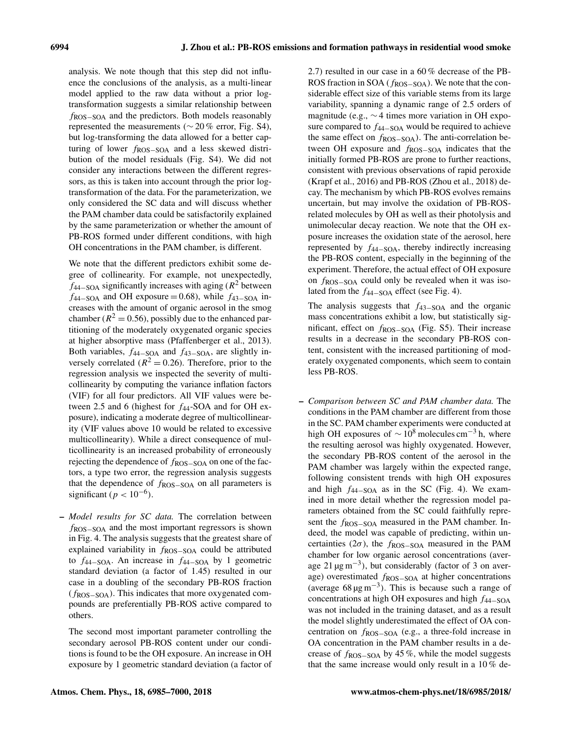analysis. We note though that this step did not influence the conclusions of the analysis, as a multi-linear model applied to the raw data without a prior logtransformation suggests a similar relationship between fROS−SOA and the predictors. Both models reasonably represented the measurements ( $\sim$  20 % error, Fig. S4), but log-transforming the data allowed for a better capturing of lower fROS−SOA and a less skewed distribution of the model residuals (Fig. S4). We did not consider any interactions between the different regressors, as this is taken into account through the prior logtransformation of the data. For the parameterization, we only considered the SC data and will discuss whether the PAM chamber data could be satisfactorily explained by the same parameterization or whether the amount of PB-ROS formed under different conditions, with high OH concentrations in the PAM chamber, is different.

We note that the different predictors exhibit some degree of collinearity. For example, not unexpectedly,  $f_{44-SOA}$  significantly increases with aging ( $R^2$  between  $f_{44-SOA}$  and OH exposure = 0.68), while  $f_{43-SOA}$  increases with the amount of organic aerosol in the smog chamber ( $R^2 = 0.56$ ), possibly due to the enhanced partitioning of the moderately oxygenated organic species at higher absorptive mass (Pfaffenberger et al., 2013). Both variables,  $f_{44-SOA}$  and  $f_{43-SOA}$ , are slightly inversely correlated ( $R^2 = 0.26$ ). Therefore, prior to the regression analysis we inspected the severity of multicollinearity by computing the variance inflation factors (VIF) for all four predictors. All VIF values were between 2.5 and 6 (highest for  $f_{44}$ -SOA and for OH exposure), indicating a moderate degree of multicollinearity (VIF values above 10 would be related to excessive multicollinearity). While a direct consequence of multicollinearity is an increased probability of erroneously rejecting the dependence of  $f_{\rm ROS-SOA}$  on one of the factors, a type two error, the regression analysis suggests that the dependence of  $f_{\rm ROS-SOA}$  on all parameters is significant ( $p < 10^{-6}$ ).

– *Model results for SC data.* The correlation between  $f_{\rm ROS-SOA}$  and the most important regressors is shown in Fig. 4. The analysis suggests that the greatest share of explained variability in f<sub>ROS</sub>-SOA could be attributed to  $f_{44-SOA}$ . An increase in  $f_{44-SOA}$  by 1 geometric standard deviation (a factor of 1.45) resulted in our case in a doubling of the secondary PB-ROS fraction (fROS−SOA). This indicates that more oxygenated compounds are preferentially PB-ROS active compared to others.

The second most important parameter controlling the secondary aerosol PB-ROS content under our conditions is found to be the OH exposure. An increase in OH exposure by 1 geometric standard deviation (a factor of

2.7) resulted in our case in a 60 % decrease of the PB-ROS fraction in SOA ( $f_{\rm ROS-SOA}$ ). We note that the considerable effect size of this variable stems from its large variability, spanning a dynamic range of 2.5 orders of magnitude (e.g., ∼ 4 times more variation in OH exposure compared to  $f_{44-SOA}$  would be required to achieve the same effect on  $f_{\rm ROS-SOA}$ ). The anti-correlation between OH exposure and f<sub>ROS−SOA</sub> indicates that the initially formed PB-ROS are prone to further reactions, consistent with previous observations of rapid peroxide (Krapf et al., 2016) and PB-ROS (Zhou et al., 2018) decay. The mechanism by which PB-ROS evolves remains uncertain, but may involve the oxidation of PB-ROSrelated molecules by OH as well as their photolysis and unimolecular decay reaction. We note that the OH exposure increases the oxidation state of the aerosol, here represented by  $f_{44-SOA}$ , thereby indirectly increasing the PB-ROS content, especially in the beginning of the experiment. Therefore, the actual effect of OH exposure on f<sub>ROS−SOA</sub> could only be revealed when it was isolated from the  $f_{44-SOA}$  effect (see Fig. 4).

The analysis suggests that  $f_{43-\text{SOA}}$  and the organic mass concentrations exhibit a low, but statistically significant, effect on  $f_{\text{ROS–SOA}}$  (Fig. S5). Their increase results in a decrease in the secondary PB-ROS content, consistent with the increased partitioning of moderately oxygenated components, which seem to contain less PB-ROS.

– *Comparison between SC and PAM chamber data.* The conditions in the PAM chamber are different from those in the SC. PAM chamber experiments were conducted at high OH exposures of  $\sim 10^8$  molecules cm<sup>-3</sup> h, where the resulting aerosol was highly oxygenated. However, the secondary PB-ROS content of the aerosol in the PAM chamber was largely within the expected range, following consistent trends with high OH exposures and high  $f_{44-SOA}$  as in the SC (Fig. 4). We examined in more detail whether the regression model parameters obtained from the SC could faithfully represent the  $f_{\rm ROS-SOA}$  measured in the PAM chamber. Indeed, the model was capable of predicting, within uncertainties ( $2\sigma$ ), the  $f_{\rm ROS-SOA}$  measured in the PAM chamber for low organic aerosol concentrations (average 21 µg m−<sup>3</sup> ), but considerably (factor of 3 on average) overestimated  $f_{\rm ROS-SOA}$  at higher concentrations (average  $68 \,\mathrm{\mu g\,m^{-3}}$ ). This is because such a range of concentrations at high OH exposures and high  $f_{44-SOA}$ was not included in the training dataset, and as a result the model slightly underestimated the effect of OA concentration on fROS−SOA (e.g., a three-fold increase in OA concentration in the PAM chamber results in a decrease of  $f_{\rm ROS-SOA}$  by 45 %, while the model suggests that the same increase would only result in a 10 % de-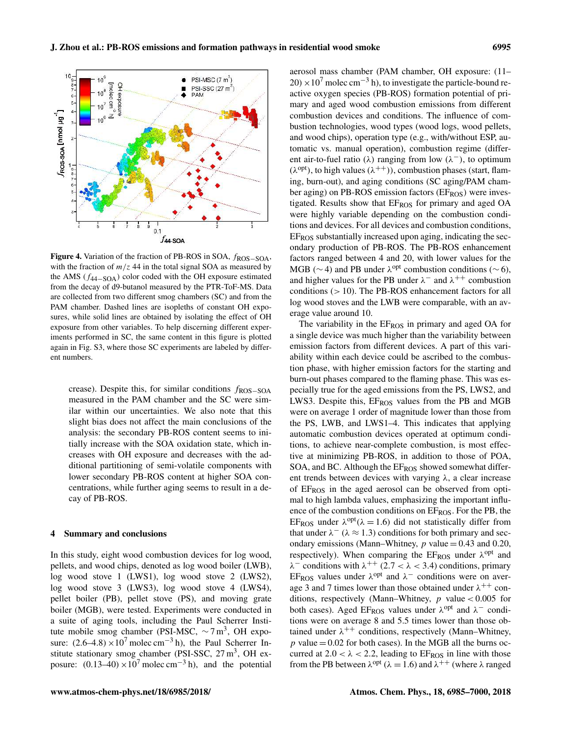

Figure 4. Variation of the fraction of PB-ROS in SOA, fROS−SOA, with the fraction of  $m/z$  44 in the total signal SOA as measured by the AMS ( $f_{44-SOA}$ ) color coded with the OH exposure estimated from the decay of d9-butanol measured by the PTR-ToF-MS. Data are collected from two different smog chambers (SC) and from the PAM chamber. Dashed lines are isopleths of constant OH exposures, while solid lines are obtained by isolating the effect of OH exposure from other variables. To help discerning different experiments performed in SC, the same content in this figure is plotted again in Fig. S3, where those SC experiments are labeled by different numbers.

crease). Despite this, for similar conditions  $f_{\rm ROS-SOA}$ measured in the PAM chamber and the SC were similar within our uncertainties. We also note that this slight bias does not affect the main conclusions of the analysis: the secondary PB-ROS content seems to initially increase with the SOA oxidation state, which increases with OH exposure and decreases with the additional partitioning of semi-volatile components with lower secondary PB-ROS content at higher SOA concentrations, while further aging seems to result in a decay of PB-ROS.

#### 4 Summary and conclusions

In this study, eight wood combustion devices for log wood, pellets, and wood chips, denoted as log wood boiler (LWB), log wood stove 1 (LWS1), log wood stove 2 (LWS2), log wood stove 3 (LWS3), log wood stove 4 (LWS4), pellet boiler (PB), pellet stove (PS), and moving grate boiler (MGB), were tested. Experiments were conducted in a suite of aging tools, including the Paul Scherrer Institute mobile smog chamber (PSI-MSC,  $\sim$  7 m<sup>3</sup>, OH exposure:  $(2.6-4.8) \times 10^7$  molec cm<sup>-3</sup> h), the Paul Scherrer Institute stationary smog chamber (PSI-SSC,  $27 \text{ m}^3$ , OH exposure:  $(0.13-40) \times 10^7$  molec cm<sup>-3</sup> h), and the potential aerosol mass chamber (PAM chamber, OH exposure: (11–  $20 \times 10^7$  molec cm<sup>-3</sup> h), to investigate the particle-bound reactive oxygen species (PB-ROS) formation potential of primary and aged wood combustion emissions from different combustion devices and conditions. The influence of combustion technologies, wood types (wood logs, wood pellets, and wood chips), operation type (e.g., with/without ESP, automatic vs. manual operation), combustion regime (different air-to-fuel ratio ( $\lambda$ ) ranging from low ( $\lambda^-$ ), to optimum  $(\lambda^{opt})$ , to high values  $(\lambda^{++})$ , combustion phases (start, flaming, burn-out), and aging conditions (SC aging/PAM chamber aging) on PB-ROS emission factors ( $E_{ROS}$ ) were investigated. Results show that EFROS for primary and aged OA were highly variable depending on the combustion conditions and devices. For all devices and combustion conditions, EFROS substantially increased upon aging, indicating the secondary production of PB-ROS. The PB-ROS enhancement factors ranged between 4 and 20, with lower values for the MGB ( $\sim$  4) and PB under  $\lambda^{opt}$  combustion conditions ( $\sim$  6), and higher values for the PB under  $\lambda^-$  and  $\lambda^{++}$  combustion conditions (> 10). The PB-ROS enhancement factors for all log wood stoves and the LWB were comparable, with an average value around 10.

The variability in the  $E_{ROS}$  in primary and aged OA for a single device was much higher than the variability between emission factors from different devices. A part of this variability within each device could be ascribed to the combustion phase, with higher emission factors for the starting and burn-out phases compared to the flaming phase. This was especially true for the aged emissions from the PS, LWS2, and LWS3. Despite this,  $E_{ROS}$  values from the PB and MGB were on average 1 order of magnitude lower than those from the PS, LWB, and LWS1–4. This indicates that applying automatic combustion devices operated at optimum conditions, to achieve near-complete combustion, is most effective at minimizing PB-ROS, in addition to those of POA, SOA, and BC. Although the EFROS showed somewhat different trends between devices with varying  $\lambda$ , a clear increase of  $E_{ROS}$  in the aged aerosol can be observed from optimal to high lambda values, emphasizing the important influence of the combustion conditions on  $E_{ROS}$ . For the PB, the EF<sub>ROS</sub> under  $\lambda^{opt}(\lambda = 1.6)$  did not statistically differ from that under  $\lambda^-$  ( $\lambda \approx 1.3$ ) conditions for both primary and secondary emissions (Mann–Whitney,  $p$  value = 0.43 and 0.20, respectively). When comparing the EFROS under  $\lambda^{\text{opt}}$  and  $\lambda^-$  conditions with  $\lambda^{++}$  (2.7 <  $\lambda$  < 3.4) conditions, primary EF<sub>ROS</sub> values under  $\lambda$ <sup>opt</sup> and  $\lambda^-$  conditions were on average 3 and 7 times lower than those obtained under  $\lambda^{++}$  conditions, respectively (Mann–Whitney,  $p$  value < 0.005 for both cases). Aged EF<sub>ROS</sub> values under  $\lambda^{\text{opt}}$  and  $\lambda^-$  conditions were on average 8 and 5.5 times lower than those obtained under  $\lambda^{++}$  conditions, respectively (Mann–Whitney,  $p$  value = 0.02 for both cases). In the MGB all the burns occurred at  $2.0 < \lambda < 2.2$ , leading to EF<sub>ROS</sub> in line with those from the PB between  $\lambda^{opt}$  ( $\lambda = 1.6$ ) and  $\lambda^{++}$  (where  $\lambda$  ranged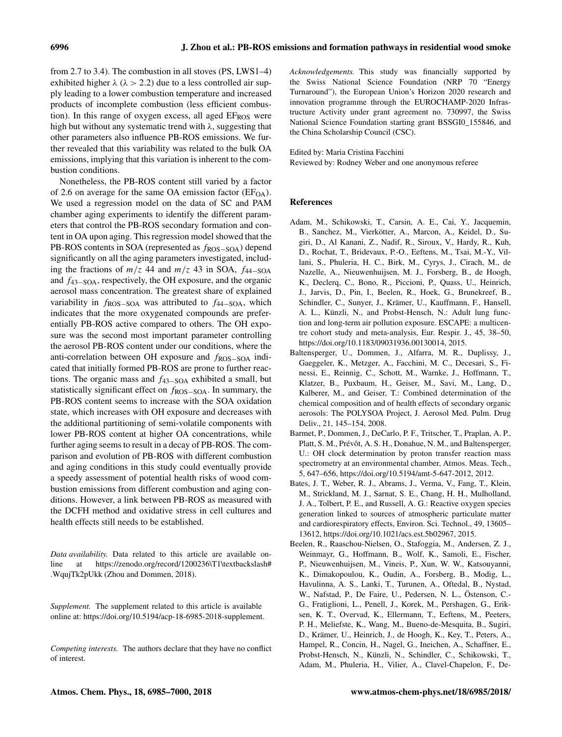from 2.7 to 3.4). The combustion in all stoves (PS, LWS1–4) exhibited higher  $\lambda$  ( $\lambda > 2.2$ ) due to a less controlled air supply leading to a lower combustion temperature and increased products of incomplete combustion (less efficient combustion). In this range of oxygen excess, all aged  $EF<sub>ROS</sub>$  were high but without any systematic trend with  $\lambda$ , suggesting that other parameters also influence PB-ROS emissions. We further revealed that this variability was related to the bulk OA emissions, implying that this variation is inherent to the combustion conditions.

Nonetheless, the PB-ROS content still varied by a factor of 2.6 on average for the same OA emission factor ( $E_{O<sub>A</sub>}$ ). We used a regression model on the data of SC and PAM chamber aging experiments to identify the different parameters that control the PB-ROS secondary formation and content in OA upon aging. This regression model showed that the PB-ROS contents in SOA (represented as  $f_{ROS-SOA}$ ) depend significantly on all the aging parameters investigated, including the fractions of  $m/z$  44 and  $m/z$  43 in SOA,  $f_{44-SOA}$ and f43−SOA, respectively, the OH exposure, and the organic aerosol mass concentration. The greatest share of explained variability in  $f_{\rm ROS-SOA}$  was attributed to  $f_{\rm 44-SOA}$ , which indicates that the more oxygenated compounds are preferentially PB-ROS active compared to others. The OH exposure was the second most important parameter controlling the aerosol PB-ROS content under our conditions, where the anti-correlation between OH exposure and  $f_{\rm ROS-SOA}$  indicated that initially formed PB-ROS are prone to further reactions. The organic mass and  $f_{43-SOA}$  exhibited a small, but statistically significant effect on  $f_{\rm ROS-SOA}$ . In summary, the PB-ROS content seems to increase with the SOA oxidation state, which increases with OH exposure and decreases with the additional partitioning of semi-volatile components with lower PB-ROS content at higher OA concentrations, while further aging seems to result in a decay of PB-ROS. The comparison and evolution of PB-ROS with different combustion and aging conditions in this study could eventually provide a speedy assessment of potential health risks of wood combustion emissions from different combustion and aging conditions. However, a link between PB-ROS as measured with the DCFH method and oxidative stress in cell cultures and health effects still needs to be established.

*Data availability.* Data related to this article are available online at https://zenodo.org/record/1200236\T1\textbackslash# .WqujTk2pUkk (Zhou and Dommen, 2018).

*Supplement.* The supplement related to this article is available online at: https://doi.org/10.5194/acp-18-6985-2018-supplement.

*Competing interests.* The authors declare that they have no conflict of interest.

*Acknowledgements.* This study was financially supported by the Swiss National Science Foundation (NRP 70 "Energy Turnaround"), the European Union's Horizon 2020 research and innovation programme through the EUROCHAMP-2020 Infrastructure Activity under grant agreement no. 730997, the Swiss National Science Foundation starting grant BSSGI0\_155846, and the China Scholarship Council (CSC).

Edited by: Maria Cristina Facchini

Reviewed by: Rodney Weber and one anonymous referee

# References

- Adam, M., Schikowski, T., Carsin, A. E., Cai, Y., Jacquemin, B., Sanchez, M., Vierkötter, A., Marcon, A., Keidel, D., Sugiri, D., Al Kanani, Z., Nadif, R., Siroux, V., Hardy, R., Kuh, D., Rochat, T., Bridevaux, P.-O., Eeftens, M., Tsai, M.-Y., Villani, S., Phuleria, H. C., Birk, M., Cyrys, J., Cirach, M., de Nazelle, A., Nieuwenhuijsen, M. J., Forsberg, B., de Hoogh, K., Declerq, C., Bono, R., Piccioni, P., Quass, U., Heinrich, J., Jarvis, D., Pin, I., Beelen, R., Hoek, G., Brunekreef, B., Schindler, C., Sunyer, J., Krämer, U., Kauffmann, F., Hansell, A. L., Künzli, N., and Probst-Hensch, N.: Adult lung function and long-term air pollution exposure. ESCAPE: a multicentre cohort study and meta-analysis, Eur. Respir. J., 45, 38–50, https://doi.org/10.1183/09031936.00130014, 2015.
- Baltensperger, U., Dommen, J., Alfarra, M. R., Duplissy, J., Gaeggeler, K., Metzger, A., Facchini, M. C., Decesari, S., Finessi, E., Reinnig, C., Schott, M., Warnke, J., Hoffmann, T., Klatzer, B., Puxbaum, H., Geiser, M., Savi, M., Lang, D., Kalberer, M., and Geiser, T.: Combined determination of the chemical composition and of health effects of secondary organic aerosols: The POLYSOA Project, J. Aerosol Med. Pulm. Drug Deliv., 21, 145–154, 2008.
- Barmet, P., Dommen, J., DeCarlo, P. F., Tritscher, T., Praplan, A. P., Platt, S. M., Prévôt, A. S. H., Donahue, N. M., and Baltensperger, U.: OH clock determination by proton transfer reaction mass spectrometry at an environmental chamber, Atmos. Meas. Tech., 5, 647–656, https://doi.org/10.5194/amt-5-647-2012, 2012.
- Bates, J. T., Weber, R. J., Abrams, J., Verma, V., Fang, T., Klein, M., Strickland, M. J., Sarnat, S. E., Chang, H. H., Mulholland, J. A., Tolbert, P. E., and Russell, A. G.: Reactive oxygen species generation linked to sources of atmospheric particulate matter and cardiorespiratory effects, Environ. Sci. Technol., 49, 13605– 13612, https://doi.org/10.1021/acs.est.5b02967, 2015.
- Beelen, R., Raaschou-Nielsen, O., Stafoggia, M., Andersen, Z. J., Weinmayr, G., Hoffmann, B., Wolf, K., Samoli, E., Fischer, P., Nieuwenhuijsen, M., Vineis, P., Xun, W. W., Katsouyanni, K., Dimakopoulou, K., Oudin, A., Forsberg, B., Modig, L., Havulinna, A. S., Lanki, T., Turunen, A., Oftedal, B., Nystad, W., Nafstad, P., De Faire, U., Pedersen, N. L., Östenson, C.- G., Fratiglioni, L., Penell, J., Korek, M., Pershagen, G., Eriksen, K. T., Overvad, K., Ellermann, T., Eeftens, M., Peeters, P. H., Meliefste, K., Wang, M., Bueno-de-Mesquita, B., Sugiri, D., Krämer, U., Heinrich, J., de Hoogh, K., Key, T., Peters, A., Hampel, R., Concin, H., Nagel, G., Ineichen, A., Schaffner, E., Probst-Hensch, N., Künzli, N., Schindler, C., Schikowski, T., Adam, M., Phuleria, H., Vilier, A., Clavel-Chapelon, F., De-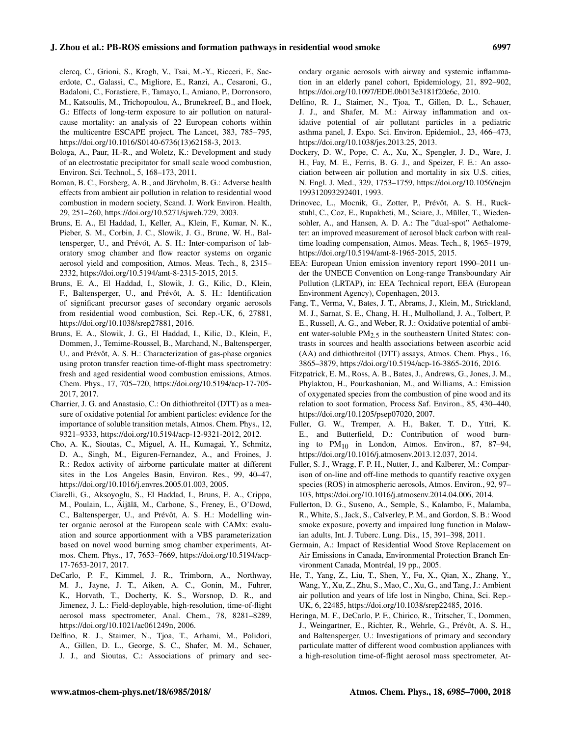clercq, C., Grioni, S., Krogh, V., Tsai, M.-Y., Ricceri, F., Sacerdote, C., Galassi, C., Migliore, E., Ranzi, A., Cesaroni, G., Badaloni, C., Forastiere, F., Tamayo, I., Amiano, P., Dorronsoro, M., Katsoulis, M., Trichopoulou, A., Brunekreef, B., and Hoek, G.: Effects of long-term exposure to air pollution on naturalcause mortality: an analysis of 22 European cohorts within the multicentre ESCAPE project, The Lancet, 383, 785–795, https://doi.org/10.1016/S0140-6736(13)62158-3, 2013.

- Bologa, A., Paur, H.-R., and Woletz, K.: Development and study of an electrostatic precipitator for small scale wood combustion, Environ. Sci. Technol., 5, 168–173, 2011.
- Boman, B. C., Forsberg, A. B., and Järvholm, B. G.: Adverse health effects from ambient air pollution in relation to residential wood combustion in modern society, Scand. J. Work Environ. Health, 29, 251–260, https://doi.org/10.5271/sjweh.729, 2003.
- Bruns, E. A., El Haddad, I., Keller, A., Klein, F., Kumar, N. K., Pieber, S. M., Corbin, J. C., Slowik, J. G., Brune, W. H., Baltensperger, U., and Prévót, A. S. H.: Inter-comparison of laboratory smog chamber and flow reactor systems on organic aerosol yield and composition, Atmos. Meas. Tech., 8, 2315– 2332, https://doi.org/10.5194/amt-8-2315-2015, 2015.
- Bruns, E. A., El Haddad, I., Slowik, J. G., Kilic, D., Klein, F., Baltensperger, U., and Prévôt, A. S. H.: Identification of significant precursor gases of secondary organic aerosols from residential wood combustion, Sci. Rep.-UK, 6, 27881, https://doi.org/10.1038/srep27881, 2016.
- Bruns, E. A., Slowik, J. G., El Haddad, I., Kilic, D., Klein, F., Dommen, J., Temime-Roussel, B., Marchand, N., Baltensperger, U., and Prévôt, A. S. H.: Characterization of gas-phase organics using proton transfer reaction time-of-flight mass spectrometry: fresh and aged residential wood combustion emissions, Atmos. Chem. Phys., 17, 705–720, https://doi.org/10.5194/acp-17-705- 2017, 2017.
- Charrier, J. G. and Anastasio, C.: On dithiothreitol (DTT) as a measure of oxidative potential for ambient particles: evidence for the importance of soluble transition metals, Atmos. Chem. Phys., 12, 9321–9333, https://doi.org/10.5194/acp-12-9321-2012, 2012.
- Cho, A. K., Sioutas, C., Miguel, A. H., Kumagai, Y., Schmitz, D. A., Singh, M., Eiguren-Fernandez, A., and Froines, J. R.: Redox activity of airborne particulate matter at different sites in the Los Angeles Basin, Environ. Res., 99, 40–47, https://doi.org/10.1016/j.envres.2005.01.003, 2005.
- Ciarelli, G., Aksoyoglu, S., El Haddad, I., Bruns, E. A., Crippa, M., Poulain, L., Äijälä, M., Carbone, S., Freney, E., O'Dowd, C., Baltensperger, U., and Prévôt, A. S. H.: Modelling winter organic aerosol at the European scale with CAMx: evaluation and source apportionment with a VBS parameterization based on novel wood burning smog chamber experiments, Atmos. Chem. Phys., 17, 7653–7669, https://doi.org/10.5194/acp-17-7653-2017, 2017.
- DeCarlo, P. F., Kimmel, J. R., Trimborn, A., Northway, M. J., Jayne, J. T., Aiken, A. C., Gonin, M., Fuhrer, K., Horvath, T., Docherty, K. S., Worsnop, D. R., and Jimenez, J. L.: Field-deployable, high-resolution, time-of-flight aerosol mass spectrometer, Anal. Chem., 78, 8281–8289, https://doi.org/10.1021/ac061249n, 2006.
- Delfino, R. J., Staimer, N., Tjoa, T., Arhami, M., Polidori, A., Gillen, D. L., George, S. C., Shafer, M. M., Schauer, J. J., and Sioutas, C.: Associations of primary and sec-

ondary organic aerosols with airway and systemic inflammation in an elderly panel cohort, Epidemiology, 21, 892–902, https://doi.org/10.1097/EDE.0b013e3181f20e6c, 2010.

- Delfino, R. J., Staimer, N., Tjoa, T., Gillen, D. L., Schauer, J. J., and Shafer, M. M.: Airway inflammation and oxidative potential of air pollutant particles in a pediatric asthma panel, J. Expo. Sci. Environ. Epidemiol., 23, 466–473, https://doi.org/10.1038/jes.2013.25, 2013.
- Dockery, D. W., Pope, C. A., Xu, X., Spengler, J. D., Ware, J. H., Fay, M. E., Ferris, B. G. J., and Speizer, F. E.: An association between air pollution and mortality in six U.S. cities, N. Engl. J. Med., 329, 1753–1759, https://doi.org/10.1056/nejm 199312093292401, 1993.
- Drinovec, L., Mocnik, G., Zotter, P., Prévôt, A. S. H., Ruckstuhl, C., Coz, E., Rupakheti, M., Sciare, J., Müller, T., Wiedensohler, A., and Hansen, A. D. A.: The "dual-spot" Aethalometer: an improved measurement of aerosol black carbon with realtime loading compensation, Atmos. Meas. Tech., 8, 1965–1979, https://doi.org/10.5194/amt-8-1965-2015, 2015.
- EEA: European Union emission inventory report 1990–2011 under the UNECE Convention on Long-range Transboundary Air Pollution (LRTAP), in: EEA Technical report, EEA (European Environment Agency), Copenhagen, 2013.
- Fang, T., Verma, V., Bates, J. T., Abrams, J., Klein, M., Strickland, M. J., Sarnat, S. E., Chang, H. H., Mulholland, J. A., Tolbert, P. E., Russell, A. G., and Weber, R. J.: Oxidative potential of ambient water-soluble PM2.5 in the southeastern United States: contrasts in sources and health associations between ascorbic acid (AA) and dithiothreitol (DTT) assays, Atmos. Chem. Phys., 16, 3865–3879, https://doi.org/10.5194/acp-16-3865-2016, 2016.
- Fitzpatrick, E. M., Ross, A. B., Bates, J., Andrews, G., Jones, J. M., Phylaktou, H., Pourkashanian, M., and Williams, A.: Emission of oxygenated species from the combustion of pine wood and its relation to soot formation, Process Saf. Environ., 85, 430–440, https://doi.org/10.1205/psep07020, 2007.
- Fuller, G. W., Tremper, A. H., Baker, T. D., Yttri, K. E., and Butterfield, D.: Contribution of wood burning to  $PM_{10}$  in London, Atmos. Environ., 87, 87-94, https://doi.org/10.1016/j.atmosenv.2013.12.037, 2014.
- Fuller, S. J., Wragg, F. P. H., Nutter, J., and Kalberer, M.: Comparison of on-line and off-line methods to quantify reactive oxygen species (ROS) in atmospheric aerosols, Atmos. Environ., 92, 97– 103, https://doi.org/10.1016/j.atmosenv.2014.04.006, 2014.
- Fullerton, D. G., Suseno, A., Semple, S., Kalambo, F., Malamba, R., White, S., Jack, S., Calverley, P. M., and Gordon, S. B.: Wood smoke exposure, poverty and impaired lung function in Malawian adults, Int. J. Tuberc. Lung. Dis., 15, 391–398, 2011.
- Germain, A.: Impact of Residential Wood Stove Replacement on Air Emissions in Canada, Environmental Protection Branch Environment Canada, Montréal, 19 pp., 2005.
- He, T., Yang, Z., Liu, T., Shen, Y., Fu, X., Qian, X., Zhang, Y., Wang, Y., Xu, Z., Zhu, S., Mao, C., Xu, G., and Tang, J.: Ambient air pollution and years of life lost in Ningbo, China, Sci. Rep.- UK, 6, 22485, https://doi.org/10.1038/srep22485, 2016.
- Heringa, M. F., DeCarlo, P. F., Chirico, R., Tritscher, T., Dommen, J., Weingartner, E., Richter, R., Wehrle, G., Prévôt, A. S. H., and Baltensperger, U.: Investigations of primary and secondary particulate matter of different wood combustion appliances with a high-resolution time-of-flight aerosol mass spectrometer, At-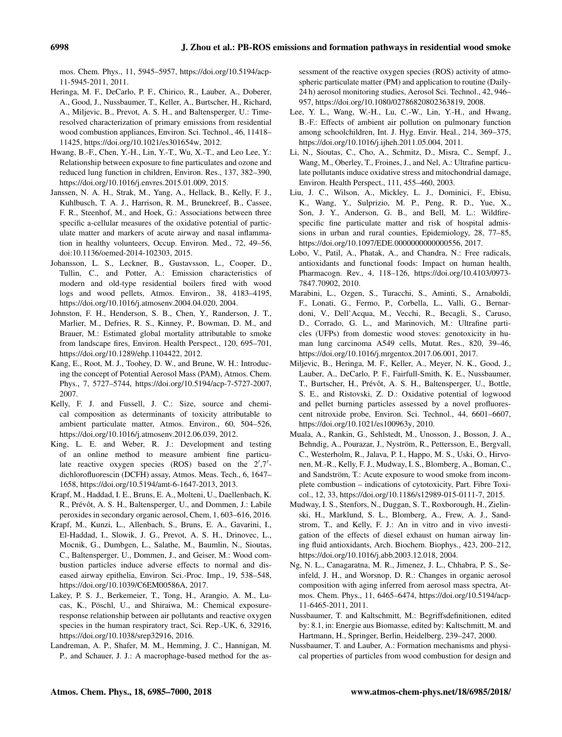mos. Chem. Phys., 11, 5945–5957, https://doi.org/10.5194/acp-11-5945-2011, 2011.

- Heringa, M. F., DeCarlo, P. F., Chirico, R., Lauber, A., Doberer, A., Good, J., Nussbaumer, T., Keller, A., Burtscher, H., Richard, A., Miljevic, B., Prevot, A. S. H., and Baltensperger, U.: Timeresolved characterization of primary emissions from residential wood combustion appliances, Environ. Sci. Technol., 46, 11418– 11425, https://doi.org/10.1021/es301654w, 2012.
- Hwang, B.-F., Chen, Y.-H., Lin, Y.-T., Wu, X.-T., and Leo Lee, Y.: Relationship between exposure to fine particulates and ozone and reduced lung function in children, Environ. Res., 137, 382–390, https://doi.org/10.1016/j.envres.2015.01.009, 2015.
- Janssen, N. A. H., Strak, M., Yang, A., Hellack, B., Kelly, F. J., Kuhlbusch, T. A. J., Harrison, R. M., Brunekreef, B., Cassee, F. R., Steenhof, M., and Hoek, G.: Associations between three specific a-cellular measures of the oxidative potential of particulate matter and markers of acute airway and nasal inflammation in healthy volunteers, Occup. Environ. Med., 72, 49–56, doi:10.1136/oemed-2014-102303, 2015.
- Johansson, L. S., Leckner, B., Gustavsson, L., Cooper, D., Tullin, C., and Potter, A.: Emission characteristics of modern and old-type residential boilers fired with wood logs and wood pellets, Atmos. Environ., 38, 4183–4195, https://doi.org/10.1016/j.atmosenv.2004.04.020, 2004.
- Johnston, F. H., Henderson, S. B., Chen, Y., Randerson, J. T., Marlier, M., Defries, R. S., Kinney, P., Bowman, D. M., and Brauer, M.: Estimated global mortality attributable to smoke from landscape fires, Environ. Health Perspect., 120, 695–701, https://doi.org/10.1289/ehp.1104422, 2012.
- Kang, E., Root, M. J., Toohey, D. W., and Brune, W. H.: Introducing the concept of Potential Aerosol Mass (PAM), Atmos. Chem. Phys., 7, 5727–5744, https://doi.org/10.5194/acp-7-5727-2007, 2007.
- Kelly, F. J. and Fussell, J. C.: Size, source and chemical composition as determinants of toxicity attributable to ambient particulate matter, Atmos. Environ., 60, 504–526, https://doi.org/10.1016/j.atmosenv.2012.06.039, 2012.
- King, L. E. and Weber, R. J.: Development and testing of an online method to measure ambient fine particulate reactive oxygen species (ROS) based on the 2',7'dichlorofluorescin (DCFH) assay, Atmos. Meas. Tech., 6, 1647– 1658, https://doi.org/10.5194/amt-6-1647-2013, 2013.
- Krapf, M., Haddad, I. E., Bruns, E. A., Molteni, U., Daellenbach, K. R., Prévôt, A. S. H., Baltensperger, U., and Dommen, J.: Labile peroxides in secondary organic aerosol, Chem, 1, 603–616, 2016.
- Krapf, M., Kunzi, L., Allenbach, S., Bruns, E. A., Gavarini, I., El-Haddad, I., Slowik, J. G., Prevot, A. S. H., Drinovec, L., Mocnik, G., Dumbgen, L., Salathe, M., Baumlin, N., Sioutas, C., Baltensperger, U., Dommen, J., and Geiser, M.: Wood combustion particles induce adverse effects to normal and diseased airway epithelia, Environ. Sci.-Proc. Imp., 19, 538–548, https://doi.org/10.1039/C6EM00586A, 2017.
- Lakey, P. S. J., Berkemeier, T., Tong, H., Arangio, A. M., Lucas, K., Pöschl, U., and Shiraiwa, M.: Chemical exposureresponse relationship between air pollutants and reactive oxygen species in the human respiratory tract, Sci. Rep.-UK, 6, 32916, https://doi.org/10.1038/srep32916, 2016.
- Landreman, A. P., Shafer, M. M., Hemming, J. C., Hannigan, M. P., and Schauer, J. J.: A macrophage-based method for the as-

sessment of the reactive oxygen species (ROS) activity of atmospheric particulate matter (PM) and application to routine (Daily-24 h) aerosol monitoring studies, Aerosol Sci. Technol., 42, 946– 957, https://doi.org/10.1080/02786820802363819, 2008.

- Lee, Y. L., Wang, W.-H., Lu, C.-W., Lin, Y.-H., and Hwang, B.-F.: Effects of ambient air pollution on pulmonary function among schoolchildren, Int. J. Hyg. Envir. Heal., 214, 369–375, https://doi.org/10.1016/j.ijheh.2011.05.004, 2011.
- Li, N., Sioutas, C., Cho, A., Schmitz, D., Misra, C., Sempf, J., Wang, M., Oberley, T., Froines, J., and Nel, A.: Ultrafine particulate pollutants induce oxidative stress and mitochondrial damage, Environ. Health Perspect., 111, 455–460, 2003.
- Liu, J. C., Wilson, A., Mickley, L. J., Dominici, F., Ebisu, K., Wang, Y., Sulprizio, M. P., Peng, R. D., Yue, X., Son, J. Y., Anderson, G. B., and Bell, M. L.: Wildfirespecific fine particulate matter and risk of hospital admissions in urban and rural counties, Epidemiology, 28, 77–85, https://doi.org/10.1097/EDE.0000000000000556, 2017.
- Lobo, V., Patil, A., Phatak, A., and Chandra, N.: Free radicals, antioxidants and functional foods: Impact on human health, Pharmacogn. Rev., 4, 118–126, https://doi.org/10.4103/0973- 7847.70902, 2010.
- Marabini, L., Ozgen, S., Turacchi, S., Aminti, S., Arnaboldi, F., Lonati, G., Fermo, P., Corbella, L., Valli, G., Bernardoni, V., Dell'Acqua, M., Vecchi, R., Becagli, S., Caruso, D., Corrado, G. L., and Marinovich, M.: Ultrafine particles (UFPs) from domestic wood stoves: genotoxicity in human lung carcinoma A549 cells, Mutat. Res., 820, 39–46, https://doi.org/10.1016/j.mrgentox.2017.06.001, 2017.
- Miljevic, B., Heringa, M. F., Keller, A., Meyer, N. K., Good, J., Lauber, A., DeCarlo, P. F., Fairfull-Smith, K. E., Nussbaumer, T., Burtscher, H., Prévôt, A. S. H., Baltensperger, U., Bottle, S. E., and Ristovski, Z. D.: Oxidative potential of logwood and pellet burning particles assessed by a novel profluorescent nitroxide probe, Environ. Sci. Technol., 44, 6601–6607, https://doi.org/10.1021/es100963y, 2010.
- Muala, A., Rankin, G., Sehlstedt, M., Unosson, J., Bosson, J. A., Behndig, A., Pourazar, J., Nyström, R., Pettersson, E., Bergvall, C., Westerholm, R., Jalava, P. I., Happo, M. S., Uski, O., Hirvonen, M.-R., Kelly, F. J., Mudway, I. S., Blomberg, A., Boman, C., and Sandström, T.: Acute exposure to wood smoke from incomplete combustion – indications of cytotoxicity, Part. Fibre Toxicol., 12, 33, https://doi.org/10.1186/s12989-015-0111-7, 2015.
- Mudway, I. S., Stenfors, N., Duggan, S. T., Roxborough, H., Zielinski, H., Marklund, S. L., Blomberg, A., Frew, A. J., Sandstrom, T., and Kelly, F. J.: An in vitro and in vivo investigation of the effects of diesel exhaust on human airway lining fluid antioxidants, Arch. Biochem. Biophys., 423, 200–212, https://doi.org/10.1016/j.abb.2003.12.018, 2004.
- Ng, N. L., Canagaratna, M. R., Jimenez, J. L., Chhabra, P. S., Seinfeld, J. H., and Worsnop, D. R.: Changes in organic aerosol composition with aging inferred from aerosol mass spectra, Atmos. Chem. Phys., 11, 6465–6474, https://doi.org/10.5194/acp-11-6465-2011, 2011.
- Nussbaumer, T. and Kaltschmitt, M.: Begriffsdefinitionen, edited by: 8.1, in: Energie aus Biomasse, edited by: Kaltschmitt, M. and Hartmann, H., Springer, Berlin, Heidelberg, 239–247, 2000.
- Nussbaumer, T. and Lauber, A.: Formation mechanisms and physical properties of particles from wood combustion for design and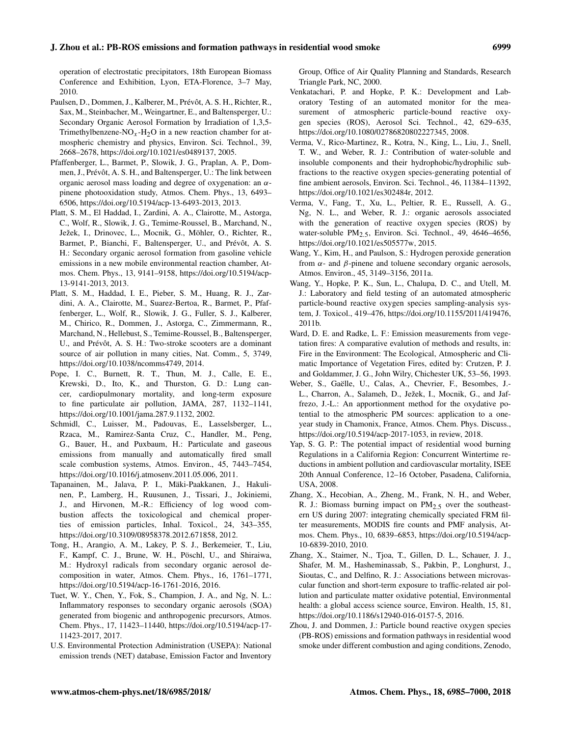operation of electrostatic precipitators, 18th European Biomass Conference and Exhibition, Lyon, ETA-Florence, 3–7 May, 2010.

- Paulsen, D., Dommen, J., Kalberer, M., Prévôt, A. S. H., Richter, R., Sax, M., Steinbacher, M., Weingartner, E., and Baltensperger, U.: Secondary Organic Aerosol Formation by Irradiation of 1,3,5- Trimethylbenzene-NO<sub>x</sub>-H<sub>2</sub>O in a new reaction chamber for atmospheric chemistry and physics, Environ. Sci. Technol., 39, 2668–2678, https://doi.org/10.1021/es0489137, 2005.
- Pfaffenberger, L., Barmet, P., Slowik, J. G., Praplan, A. P., Dommen, J., Prévôt, A. S. H., and Baltensperger, U.: The link between organic aerosol mass loading and degree of oxygenation: an  $\alpha$ pinene photooxidation study, Atmos. Chem. Phys., 13, 6493– 6506, https://doi.org/10.5194/acp-13-6493-2013, 2013.
- Platt, S. M., El Haddad, I., Zardini, A. A., Clairotte, M., Astorga, C., Wolf, R., Slowik, J. G., Temime-Roussel, B., Marchand, N., Ježek, I., Drinovec, L., Mocnik, G., Möhler, O., Richter, R., Barmet, P., Bianchi, F., Baltensperger, U., and Prévôt, A. S. H.: Secondary organic aerosol formation from gasoline vehicle emissions in a new mobile environmental reaction chamber, Atmos. Chem. Phys., 13, 9141–9158, https://doi.org/10.5194/acp-13-9141-2013, 2013.
- Platt, S. M., Haddad, I. E., Pieber, S. M., Huang, R. J., Zardini, A. A., Clairotte, M., Suarez-Bertoa, R., Barmet, P., Pfaffenberger, L., Wolf, R., Slowik, J. G., Fuller, S. J., Kalberer, M., Chirico, R., Dommen, J., Astorga, C., Zimmermann, R., Marchand, N., Hellebust, S., Temime-Roussel, B., Baltensperger, U., and Prévôt, A. S. H.: Two-stroke scooters are a dominant source of air pollution in many cities, Nat. Comm., 5, 3749, https://doi.org/10.1038/ncomms4749, 2014.
- Pope, I. C., Burnett, R. T., Thun, M. J., Calle, E. E., Krewski, D., Ito, K., and Thurston, G. D.: Lung cancer, cardiopulmonary mortality, and long-term exposure to fine particulate air pollution, JAMA, 287, 1132–1141, https://doi.org/10.1001/jama.287.9.1132, 2002.
- Schmidl, C., Luisser, M., Padouvas, E., Lasselsberger, L., Rzaca, M., Ramirez-Santa Cruz, C., Handler, M., Peng, G., Bauer, H., and Puxbaum, H.: Particulate and gaseous emissions from manually and automatically fired small scale combustion systems, Atmos. Environ., 45, 7443–7454, https://doi.org/10.1016/j.atmosenv.2011.05.006, 2011.
- Tapanainen, M., Jalava, P. I., Mäki-Paakkanen, J., Hakulinen, P., Lamberg, H., Ruusunen, J., Tissari, J., Jokiniemi, J., and Hirvonen, M.-R.: Efficiency of log wood combustion affects the toxicological and chemical properties of emission particles, Inhal. Toxicol., 24, 343–355, https://doi.org/10.3109/08958378.2012.671858, 2012.
- Tong, H., Arangio, A. M., Lakey, P. S. J., Berkemeier, T., Liu, F., Kampf, C. J., Brune, W. H., Pöschl, U., and Shiraiwa, M.: Hydroxyl radicals from secondary organic aerosol decomposition in water, Atmos. Chem. Phys., 16, 1761–1771, https://doi.org/10.5194/acp-16-1761-2016, 2016.
- Tuet, W. Y., Chen, Y., Fok, S., Champion, J. A., and Ng, N. L.: Inflammatory responses to secondary organic aerosols (SOA) generated from biogenic and anthropogenic precursors, Atmos. Chem. Phys., 17, 11423–11440, https://doi.org/10.5194/acp-17- 11423-2017, 2017.
- U.S. Environmental Protection Administration (USEPA): National emission trends (NET) database, Emission Factor and Inventory

Group, Office of Air Quality Planning and Standards, Research Triangle Park, NC, 2000.

- Venkatachari, P. and Hopke, P. K.: Development and Laboratory Testing of an automated monitor for the measurement of atmospheric particle-bound reactive oxygen species (ROS), Aerosol Sci. Technol., 42, 629–635, https://doi.org/10.1080/02786820802227345, 2008.
- Verma, V., Rico-Martinez, R., Kotra, N., King, L., Liu, J., Snell, T. W., and Weber, R. J.: Contribution of water-soluble and insoluble components and their hydrophobic/hydrophilic subfractions to the reactive oxygen species-generating potential of fine ambient aerosols, Environ. Sci. Technol., 46, 11384–11392, https://doi.org/10.1021/es302484r, 2012.
- Verma, V., Fang, T., Xu, L., Peltier, R. E., Russell, A. G., Ng, N. L., and Weber, R. J.: organic aerosols associated with the generation of reactive oxygen species (ROS) by water-soluble PM<sub>2.5</sub>, Environ. Sci. Technol., 49, 4646–4656, https://doi.org/10.1021/es505577w, 2015.
- Wang, Y., Kim, H., and Paulson, S.: Hydrogen peroxide generation from α- and β-pinene and toluene secondary organic aerosols, Atmos. Environ., 45, 3149–3156, 2011a.
- Wang, Y., Hopke, P. K., Sun, L., Chalupa, D. C., and Utell, M. J.: Laboratory and field testing of an automated atmospheric particle-bound reactive oxygen species sampling-analysis system, J. Toxicol., 419–476, https://doi.org/10.1155/2011/419476, 2011b.
- Ward, D. E. and Radke, L. F.: Emission measurements from vegetation fires: A comparative evalution of methods and results, in: Fire in the Environment: The Ecological, Atmospheric and Climatic Importance of Vegetation Fires, edited by: Crutzen, P. J. and Goldammer, J. G., John Wilry, Chichester UK, 53–56, 1993.
- Weber, S., Gaëlle, U., Calas, A., Chevrier, F., Besombes, J.- L., Charron, A., Salameh, D., Ježek, I., Mocnik, G., and Jaffrezo, J.-L.: An apportionment method for the oxydative potential to the atmospheric PM sources: application to a oneyear study in Chamonix, France, Atmos. Chem. Phys. Discuss., https://doi.org/10.5194/acp-2017-1053, in review, 2018.
- Yap, S. G. P.: The potential impact of residential wood burning Regulations in a California Region: Concurrent Wintertime reductions in ambient pollution and cardiovascular mortality, ISEE 20th Annual Conference, 12–16 October, Pasadena, California, USA, 2008.
- Zhang, X., Hecobian, A., Zheng, M., Frank, N. H., and Weber, R. J.: Biomass burning impact on  $PM_{2.5}$  over the southeastern US during 2007: integrating chemically speciated FRM filter measurements, MODIS fire counts and PMF analysis, Atmos. Chem. Phys., 10, 6839–6853, https://doi.org/10.5194/acp-10-6839-2010, 2010.
- Zhang, X., Staimer, N., Tjoa, T., Gillen, D. L., Schauer, J. J., Shafer, M. M., Hasheminassab, S., Pakbin, P., Longhurst, J., Sioutas, C., and Delfino, R. J.: Associations between microvascular function and short-term exposure to traffic-related air pollution and particulate matter oxidative potential, Environmental health: a global access science source, Environ. Health, 15, 81, https://doi.org/10.1186/s12940-016-0157-5, 2016.
- Zhou, J. and Dommen, J.: Particle bound reactive oxygen species (PB-ROS) emissions and formation pathways in residential wood smoke under different combustion and aging conditions, Zenodo,